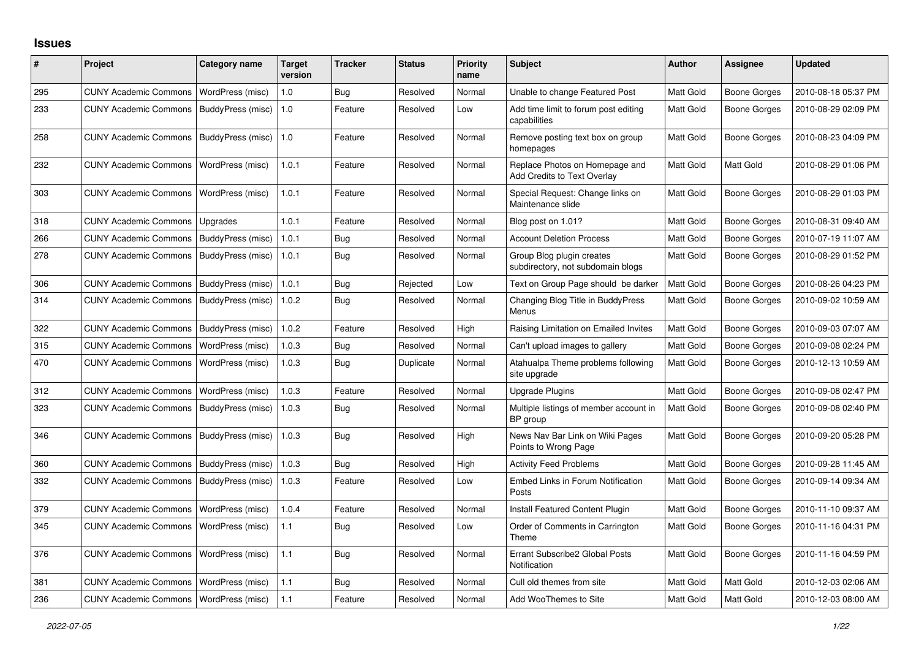## **Issues**

| #   | Project                                  | Category name     | <b>Target</b><br>version | Tracker    | <b>Status</b> | <b>Priority</b><br>name | <b>Subject</b>                                                 | Author           | Assignee            | <b>Updated</b>      |
|-----|------------------------------------------|-------------------|--------------------------|------------|---------------|-------------------------|----------------------------------------------------------------|------------------|---------------------|---------------------|
| 295 | <b>CUNY Academic Commons</b>             | WordPress (misc)  | 1.0                      | Bug        | Resolved      | Normal                  | Unable to change Featured Post                                 | Matt Gold        | Boone Gorges        | 2010-08-18 05:37 PM |
| 233 | <b>CUNY Academic Commons</b>             | BuddyPress (misc) | 1.0                      | Feature    | Resolved      | Low                     | Add time limit to forum post editing<br>capabilities           | Matt Gold        | Boone Gorges        | 2010-08-29 02:09 PM |
| 258 | <b>CUNY Academic Commons</b>             | BuddyPress (misc) | 1.0                      | Feature    | Resolved      | Normal                  | Remove posting text box on group<br>homepages                  | Matt Gold        | Boone Gorges        | 2010-08-23 04:09 PM |
| 232 | <b>CUNY Academic Commons</b>             | WordPress (misc)  | 1.0.1                    | Feature    | Resolved      | Normal                  | Replace Photos on Homepage and<br>Add Credits to Text Overlay  | Matt Gold        | Matt Gold           | 2010-08-29 01:06 PM |
| 303 | <b>CUNY Academic Commons</b>             | WordPress (misc)  | 1.0.1                    | Feature    | Resolved      | Normal                  | Special Request: Change links on<br>Maintenance slide          | <b>Matt Gold</b> | <b>Boone Gorges</b> | 2010-08-29 01:03 PM |
| 318 | <b>CUNY Academic Commons</b>             | Upgrades          | 1.0.1                    | Feature    | Resolved      | Normal                  | Blog post on 1.01?                                             | Matt Gold        | <b>Boone Gorges</b> | 2010-08-31 09:40 AM |
| 266 | <b>CUNY Academic Commons</b>             | BuddyPress (misc) | 1.0.1                    | Bug        | Resolved      | Normal                  | <b>Account Deletion Process</b>                                | Matt Gold        | <b>Boone Gorges</b> | 2010-07-19 11:07 AM |
| 278 | <b>CUNY Academic Commons</b>             | BuddyPress (misc) | 1.0.1                    | Bug        | Resolved      | Normal                  | Group Blog plugin creates<br>subdirectory, not subdomain blogs | Matt Gold        | Boone Gorges        | 2010-08-29 01:52 PM |
| 306 | <b>CUNY Academic Commons</b>             | BuddyPress (misc) | 1.0.1                    | Bug        | Rejected      | Low                     | Text on Group Page should be darker                            | Matt Gold        | Boone Gorges        | 2010-08-26 04:23 PM |
| 314 | <b>CUNY Academic Commons</b>             | BuddyPress (misc) | 1.0.2                    | Bug        | Resolved      | Normal                  | Changing Blog Title in BuddyPress<br>Menus                     | Matt Gold        | Boone Gorges        | 2010-09-02 10:59 AM |
| 322 | <b>CUNY Academic Commons</b>             | BuddyPress (misc) | 1.0.2                    | Feature    | Resolved      | High                    | Raising Limitation on Emailed Invites                          | Matt Gold        | Boone Gorges        | 2010-09-03 07:07 AM |
| 315 | <b>CUNY Academic Commons</b>             | WordPress (misc)  | 1.0.3                    | Bug        | Resolved      | Normal                  | Can't upload images to gallery                                 | Matt Gold        | Boone Gorges        | 2010-09-08 02:24 PM |
| 470 | <b>CUNY Academic Commons</b>             | WordPress (misc)  | 1.0.3                    | Bug        | Duplicate     | Normal                  | Atahualpa Theme problems following<br>site upgrade             | <b>Matt Gold</b> | Boone Gorges        | 2010-12-13 10:59 AM |
| 312 | <b>CUNY Academic Commons</b>             | WordPress (misc)  | 1.0.3                    | Feature    | Resolved      | Normal                  | <b>Upgrade Plugins</b>                                         | Matt Gold        | <b>Boone Gorges</b> | 2010-09-08 02:47 PM |
| 323 | <b>CUNY Academic Commons</b>             | BuddyPress (misc) | 1.0.3                    | <b>Bug</b> | Resolved      | Normal                  | Multiple listings of member account in<br>BP group             | Matt Gold        | Boone Gorges        | 2010-09-08 02:40 PM |
| 346 | <b>CUNY Academic Commons</b>             | BuddyPress (misc) | 1.0.3                    | <b>Bug</b> | Resolved      | High                    | News Nav Bar Link on Wiki Pages<br>Points to Wrong Page        | Matt Gold        | <b>Boone Gorges</b> | 2010-09-20 05:28 PM |
| 360 | <b>CUNY Academic Commons</b>             | BuddyPress (misc) | 1.0.3                    | Bug        | Resolved      | High                    | <b>Activity Feed Problems</b>                                  | Matt Gold        | <b>Boone Gorges</b> | 2010-09-28 11:45 AM |
| 332 | <b>CUNY Academic Commons</b>             | BuddyPress (misc) | 1.0.3                    | Feature    | Resolved      | Low                     | Embed Links in Forum Notification<br>Posts                     | <b>Matt Gold</b> | Boone Gorges        | 2010-09-14 09:34 AM |
| 379 | <b>CUNY Academic Commons</b>             | WordPress (misc)  | 1.0.4                    | Feature    | Resolved      | Normal                  | Install Featured Content Plugin                                | Matt Gold        | <b>Boone Gorges</b> | 2010-11-10 09:37 AM |
| 345 | <b>CUNY Academic Commons</b>             | WordPress (misc)  | 1.1                      | Bug        | Resolved      | Low                     | Order of Comments in Carrington<br>Theme                       | <b>Matt Gold</b> | Boone Gorges        | 2010-11-16 04:31 PM |
| 376 | <b>CUNY Academic Commons</b>             | WordPress (misc)  | 1.1                      | <b>Bug</b> | Resolved      | Normal                  | <b>Errant Subscribe2 Global Posts</b><br>Notification          | <b>Matt Gold</b> | Boone Gorges        | 2010-11-16 04:59 PM |
| 381 | <b>CUNY Academic Commons</b>             | WordPress (misc)  | 1.1                      | <b>Bug</b> | Resolved      | Normal                  | Cull old themes from site                                      | Matt Gold        | Matt Gold           | 2010-12-03 02:06 AM |
| 236 | CUNY Academic Commons   WordPress (misc) |                   | 1.1                      | Feature    | Resolved      | Normal                  | Add WooThemes to Site                                          | <b>Matt Gold</b> | Matt Gold           | 2010-12-03 08:00 AM |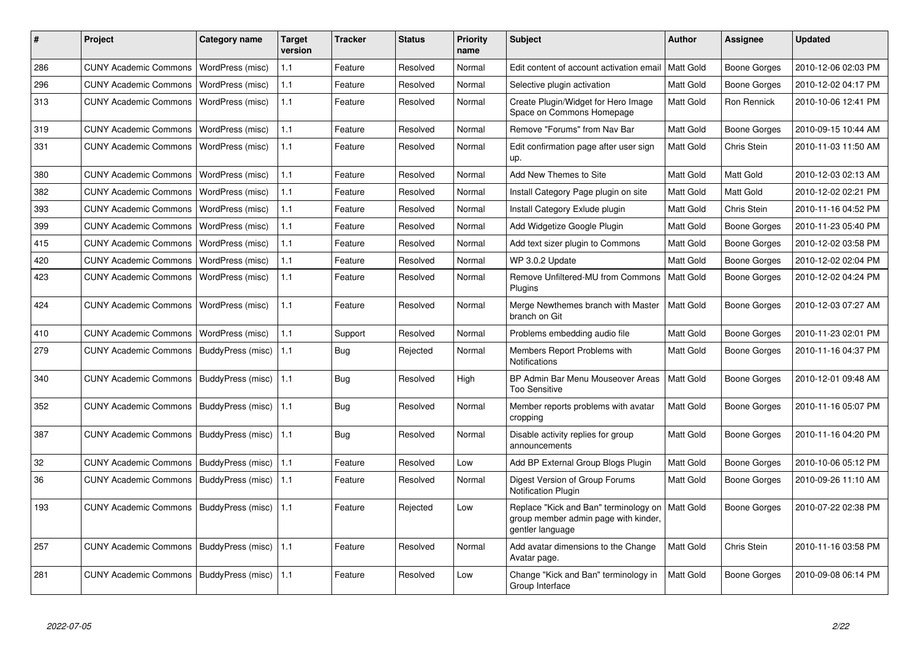| #   | <b>Project</b>               | Category name     | <b>Target</b><br>version | <b>Tracker</b> | <b>Status</b> | <b>Priority</b><br>name | <b>Subject</b>                                                                                    | <b>Author</b>    | Assignee            | <b>Updated</b>      |
|-----|------------------------------|-------------------|--------------------------|----------------|---------------|-------------------------|---------------------------------------------------------------------------------------------------|------------------|---------------------|---------------------|
| 286 | <b>CUNY Academic Commons</b> | WordPress (misc)  | 1.1                      | Feature        | Resolved      | Normal                  | Edit content of account activation email                                                          | <b>Matt Gold</b> | Boone Gorges        | 2010-12-06 02:03 PM |
| 296 | <b>CUNY Academic Commons</b> | WordPress (misc)  | 1.1                      | Feature        | Resolved      | Normal                  | Selective plugin activation                                                                       | Matt Gold        | Boone Gorges        | 2010-12-02 04:17 PM |
| 313 | <b>CUNY Academic Commons</b> | WordPress (misc)  | 1.1                      | Feature        | Resolved      | Normal                  | Create Plugin/Widget for Hero Image<br>Space on Commons Homepage                                  | Matt Gold        | Ron Rennick         | 2010-10-06 12:41 PM |
| 319 | <b>CUNY Academic Commons</b> | WordPress (misc)  | 1.1                      | Feature        | Resolved      | Normal                  | Remove "Forums" from Nav Bar                                                                      | Matt Gold        | Boone Gorges        | 2010-09-15 10:44 AM |
| 331 | <b>CUNY Academic Commons</b> | WordPress (misc)  | 1.1                      | Feature        | Resolved      | Normal                  | Edit confirmation page after user sign<br>up.                                                     | Matt Gold        | Chris Stein         | 2010-11-03 11:50 AM |
| 380 | <b>CUNY Academic Commons</b> | WordPress (misc)  | 1.1                      | Feature        | Resolved      | Normal                  | Add New Themes to Site                                                                            | Matt Gold        | Matt Gold           | 2010-12-03 02:13 AM |
| 382 | <b>CUNY Academic Commons</b> | WordPress (misc)  | 1.1                      | Feature        | Resolved      | Normal                  | Install Category Page plugin on site                                                              | Matt Gold        | Matt Gold           | 2010-12-02 02:21 PM |
| 393 | <b>CUNY Academic Commons</b> | WordPress (misc)  | 1.1                      | Feature        | Resolved      | Normal                  | Install Category Exlude plugin                                                                    | Matt Gold        | Chris Stein         | 2010-11-16 04:52 PM |
| 399 | <b>CUNY Academic Commons</b> | WordPress (misc)  | 1.1                      | Feature        | Resolved      | Normal                  | Add Widgetize Google Plugin                                                                       | Matt Gold        | <b>Boone Gorges</b> | 2010-11-23 05:40 PM |
| 415 | <b>CUNY Academic Commons</b> | WordPress (misc)  | 1.1                      | Feature        | Resolved      | Normal                  | Add text sizer plugin to Commons                                                                  | Matt Gold        | <b>Boone Gorges</b> | 2010-12-02 03:58 PM |
| 420 | <b>CUNY Academic Commons</b> | WordPress (misc)  | 1.1                      | Feature        | Resolved      | Normal                  | WP 3.0.2 Update                                                                                   | Matt Gold        | <b>Boone Gorges</b> | 2010-12-02 02:04 PM |
| 423 | <b>CUNY Academic Commons</b> | WordPress (misc)  | 1.1                      | Feature        | Resolved      | Normal                  | Remove Unfiltered-MU from Commons<br>Plugins                                                      | <b>Matt Gold</b> | Boone Gorges        | 2010-12-02 04:24 PM |
| 424 | <b>CUNY Academic Commons</b> | WordPress (misc)  | 1.1                      | Feature        | Resolved      | Normal                  | Merge Newthemes branch with Master<br>branch on Git                                               | Matt Gold        | Boone Gorges        | 2010-12-03 07:27 AM |
| 410 | <b>CUNY Academic Commons</b> | WordPress (misc)  | 1.1                      | Support        | Resolved      | Normal                  | Problems embedding audio file                                                                     | Matt Gold        | Boone Gorges        | 2010-11-23 02:01 PM |
| 279 | <b>CUNY Academic Commons</b> | BuddyPress (misc) | 1.1                      | <b>Bug</b>     | Rejected      | Normal                  | Members Report Problems with<br>Notifications                                                     | Matt Gold        | <b>Boone Gorges</b> | 2010-11-16 04:37 PM |
| 340 | <b>CUNY Academic Commons</b> | BuddyPress (misc) | 1.1                      | <b>Bug</b>     | Resolved      | High                    | BP Admin Bar Menu Mouseover Areas<br><b>Too Sensitive</b>                                         | Matt Gold        | Boone Gorges        | 2010-12-01 09:48 AM |
| 352 | <b>CUNY Academic Commons</b> | BuddyPress (misc) | 1.1                      | Bug            | Resolved      | Normal                  | Member reports problems with avatar<br>cropping                                                   | Matt Gold        | Boone Gorges        | 2010-11-16 05:07 PM |
| 387 | <b>CUNY Academic Commons</b> | BuddyPress (misc) | 1.1                      | <b>Bug</b>     | Resolved      | Normal                  | Disable activity replies for group<br>announcements                                               | <b>Matt Gold</b> | <b>Boone Gorges</b> | 2010-11-16 04:20 PM |
| 32  | <b>CUNY Academic Commons</b> | BuddyPress (misc) | 1.1                      | Feature        | Resolved      | Low                     | Add BP External Group Blogs Plugin                                                                | Matt Gold        | Boone Gorges        | 2010-10-06 05:12 PM |
| 36  | <b>CUNY Academic Commons</b> | BuddyPress (misc) | 1.1                      | Feature        | Resolved      | Normal                  | Digest Version of Group Forums<br><b>Notification Plugin</b>                                      | Matt Gold        | Boone Gorges        | 2010-09-26 11:10 AM |
| 193 | <b>CUNY Academic Commons</b> | BuddyPress (misc) | 1.1                      | Feature        | Rejected      | Low                     | Replace "Kick and Ban" terminology on<br>group member admin page with kinder,<br>gentler language | <b>Matt Gold</b> | Boone Gorges        | 2010-07-22 02:38 PM |
| 257 | <b>CUNY Academic Commons</b> | BuddyPress (misc) | 1.1                      | Feature        | Resolved      | Normal                  | Add avatar dimensions to the Change<br>Avatar page.                                               | Matt Gold        | Chris Stein         | 2010-11-16 03:58 PM |
| 281 | <b>CUNY Academic Commons</b> | BuddyPress (misc) | 1.1                      | Feature        | Resolved      | Low                     | Change "Kick and Ban" terminology in<br>Group Interface                                           | Matt Gold        | <b>Boone Gorges</b> | 2010-09-08 06:14 PM |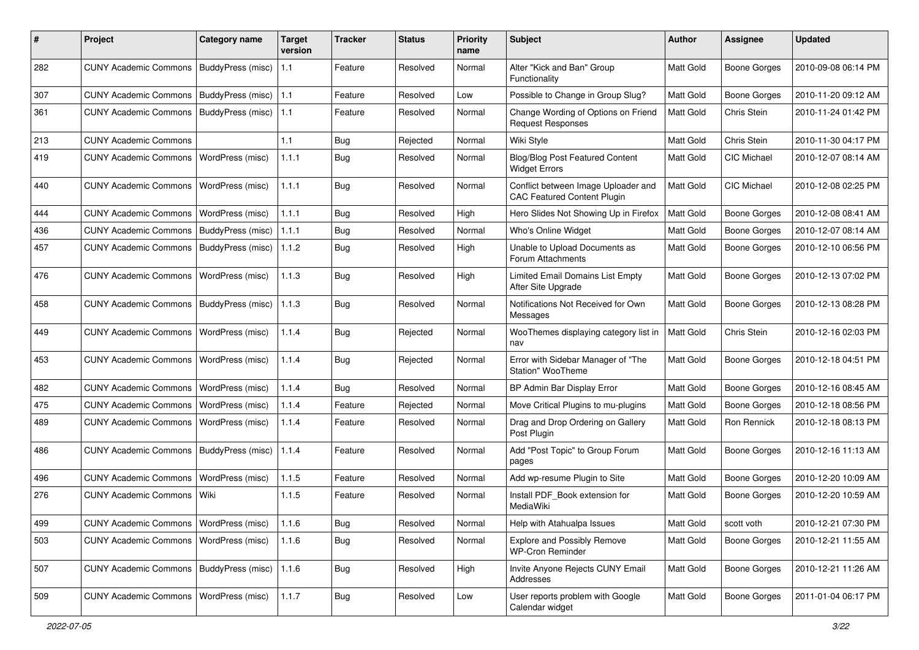| #   | Project                                  | Category name           | <b>Target</b><br>version | Tracker    | <b>Status</b> | <b>Priority</b><br>name | <b>Subject</b>                                                            | Author           | Assignee            | <b>Updated</b>      |
|-----|------------------------------------------|-------------------------|--------------------------|------------|---------------|-------------------------|---------------------------------------------------------------------------|------------------|---------------------|---------------------|
| 282 | <b>CUNY Academic Commons</b>             | BuddyPress (misc)       | 1.1                      | Feature    | Resolved      | Normal                  | Alter "Kick and Ban" Group<br>Functionality                               | Matt Gold        | <b>Boone Gorges</b> | 2010-09-08 06:14 PM |
| 307 | <b>CUNY Academic Commons</b>             | BuddyPress (misc)       | 1.1                      | Feature    | Resolved      | Low                     | Possible to Change in Group Slug?                                         | Matt Gold        | <b>Boone Gorges</b> | 2010-11-20 09:12 AM |
| 361 | <b>CUNY Academic Commons</b>             | BuddyPress (misc)       | 1.1                      | Feature    | Resolved      | Normal                  | Change Wording of Options on Friend<br><b>Request Responses</b>           | Matt Gold        | Chris Stein         | 2010-11-24 01:42 PM |
| 213 | <b>CUNY Academic Commons</b>             |                         | 1.1                      | Bug        | Rejected      | Normal                  | Wiki Style                                                                | Matt Gold        | Chris Stein         | 2010-11-30 04:17 PM |
| 419 | <b>CUNY Academic Commons</b>             | <b>WordPress (misc)</b> | 1.1.1                    | <b>Bug</b> | Resolved      | Normal                  | <b>Blog/Blog Post Featured Content</b><br><b>Widget Errors</b>            | <b>Matt Gold</b> | <b>CIC Michael</b>  | 2010-12-07 08:14 AM |
| 440 | <b>CUNY Academic Commons</b>             | <b>WordPress (misc)</b> | 1.1.1                    | <b>Bug</b> | Resolved      | Normal                  | Conflict between Image Uploader and<br><b>CAC Featured Content Plugin</b> | Matt Gold        | CIC Michael         | 2010-12-08 02:25 PM |
| 444 | <b>CUNY Academic Commons</b>             | WordPress (misc)        | 1.1.1                    | Bug        | Resolved      | High                    | Hero Slides Not Showing Up in Firefox                                     | Matt Gold        | <b>Boone Gorges</b> | 2010-12-08 08:41 AM |
| 436 | <b>CUNY Academic Commons</b>             | BuddyPress (misc)       | 1.1.1                    | Bug        | Resolved      | Normal                  | Who's Online Widget                                                       | Matt Gold        | <b>Boone Gorges</b> | 2010-12-07 08:14 AM |
| 457 | <b>CUNY Academic Commons</b>             | BuddyPress (misc)       | 1.1.2                    | Bug        | Resolved      | High                    | Unable to Upload Documents as<br>Forum Attachments                        | Matt Gold        | Boone Gorges        | 2010-12-10 06:56 PM |
| 476 | <b>CUNY Academic Commons</b>             | <b>WordPress (misc)</b> | 1.1.3                    | Bug        | Resolved      | High                    | Limited Email Domains List Empty<br>After Site Upgrade                    | Matt Gold        | <b>Boone Gorges</b> | 2010-12-13 07:02 PM |
| 458 | <b>CUNY Academic Commons</b>             | BuddyPress (misc)       | 1.1.3                    | Bug        | Resolved      | Normal                  | Notifications Not Received for Own<br>Messages                            | Matt Gold        | <b>Boone Gorges</b> | 2010-12-13 08:28 PM |
| 449 | <b>CUNY Academic Commons</b>             | WordPress (misc)        | 1.1.4                    | Bug        | Rejected      | Normal                  | WooThemes displaying category list in<br>nav                              | Matt Gold        | Chris Stein         | 2010-12-16 02:03 PM |
| 453 | <b>CUNY Academic Commons</b>             | WordPress (misc)        | 1.1.4                    | Bug        | Rejected      | Normal                  | Error with Sidebar Manager of "The<br>Station" WooTheme                   | Matt Gold        | <b>Boone Gorges</b> | 2010-12-18 04:51 PM |
| 482 | <b>CUNY Academic Commons</b>             | WordPress (misc)        | 1.1.4                    | Bug        | Resolved      | Normal                  | BP Admin Bar Display Error                                                | Matt Gold        | <b>Boone Gorges</b> | 2010-12-16 08:45 AM |
| 475 | <b>CUNY Academic Commons</b>             | WordPress (misc)        | 1.1.4                    | Feature    | Rejected      | Normal                  | Move Critical Plugins to mu-plugins                                       | Matt Gold        | <b>Boone Gorges</b> | 2010-12-18 08:56 PM |
| 489 | <b>CUNY Academic Commons</b>             | WordPress (misc)        | 1.1.4                    | Feature    | Resolved      | Normal                  | Drag and Drop Ordering on Gallery<br>Post Plugin                          | Matt Gold        | Ron Rennick         | 2010-12-18 08:13 PM |
| 486 | <b>CUNY Academic Commons</b>             | BuddyPress (misc)       | 1.1.4                    | Feature    | Resolved      | Normal                  | Add "Post Topic" to Group Forum<br>pages                                  | Matt Gold        | <b>Boone Gorges</b> | 2010-12-16 11:13 AM |
| 496 | <b>CUNY Academic Commons</b>             | WordPress (misc)        | 1.1.5                    | Feature    | Resolved      | Normal                  | Add wp-resume Plugin to Site                                              | Matt Gold        | <b>Boone Gorges</b> | 2010-12-20 10:09 AM |
| 276 | <b>CUNY Academic Commons</b>             | Wiki                    | 1.1.5                    | Feature    | Resolved      | Normal                  | Install PDF_Book extension for<br>MediaWiki                               | Matt Gold        | <b>Boone Gorges</b> | 2010-12-20 10:59 AM |
| 499 | CUNY Academic Commons   WordPress (misc) |                         | 1.1.6                    | Bug        | Resolved      | Normal                  | Help with Atahualpa Issues                                                | Matt Gold        | scott voth          | 2010-12-21 07:30 PM |
| 503 | CUNY Academic Commons   WordPress (misc) |                         | 1.1.6                    | Bug        | Resolved      | Normal                  | Explore and Possibly Remove<br><b>WP-Cron Reminder</b>                    | Matt Gold        | Boone Gorges        | 2010-12-21 11:55 AM |
| 507 | <b>CUNY Academic Commons</b>             | BuddyPress (misc)       | 1.1.6                    | <b>Bug</b> | Resolved      | High                    | Invite Anyone Rejects CUNY Email<br>Addresses                             | Matt Gold        | Boone Gorges        | 2010-12-21 11:26 AM |
| 509 | <b>CUNY Academic Commons</b>             | WordPress (misc)        | 1.1.7                    | Bug        | Resolved      | Low                     | User reports problem with Google<br>Calendar widget                       | Matt Gold        | <b>Boone Gorges</b> | 2011-01-04 06:17 PM |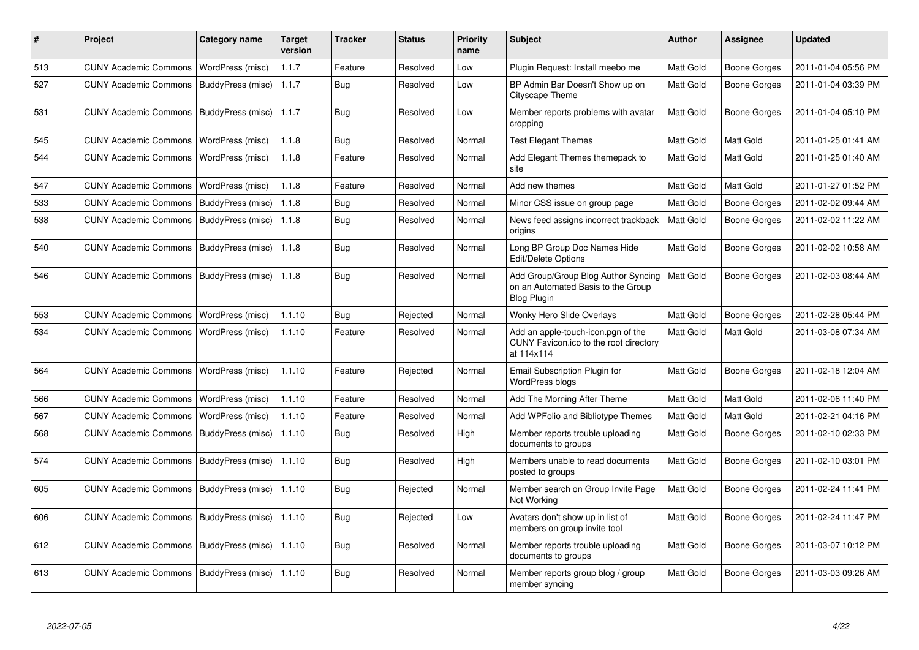| #   | Project                                   | Category name     | <b>Target</b><br>version | Tracker    | <b>Status</b> | <b>Priority</b><br>name | <b>Subject</b>                                                                                  | <b>Author</b>    | Assignee            | <b>Updated</b>      |
|-----|-------------------------------------------|-------------------|--------------------------|------------|---------------|-------------------------|-------------------------------------------------------------------------------------------------|------------------|---------------------|---------------------|
| 513 | <b>CUNY Academic Commons</b>              | WordPress (misc)  | 1.1.7                    | Feature    | Resolved      | Low                     | Plugin Request: Install meebo me                                                                | Matt Gold        | <b>Boone Gorges</b> | 2011-01-04 05:56 PM |
| 527 | <b>CUNY Academic Commons</b>              | BuddyPress (misc) | 1.1.7                    | Bug        | Resolved      | Low                     | BP Admin Bar Doesn't Show up on<br><b>Cityscape Theme</b>                                       | Matt Gold        | Boone Gorges        | 2011-01-04 03:39 PM |
| 531 | <b>CUNY Academic Commons</b>              | BuddyPress (misc) | 1.1.7                    | Bug        | Resolved      | Low                     | Member reports problems with avatar<br>cropping                                                 | Matt Gold        | Boone Gorges        | 2011-01-04 05:10 PM |
| 545 | <b>CUNY Academic Commons</b>              | WordPress (misc)  | 1.1.8                    | <b>Bug</b> | Resolved      | Normal                  | <b>Test Elegant Themes</b>                                                                      | Matt Gold        | Matt Gold           | 2011-01-25 01:41 AM |
| 544 | <b>CUNY Academic Commons</b>              | WordPress (misc)  | 1.1.8                    | Feature    | Resolved      | Normal                  | Add Elegant Themes themepack to<br>site                                                         | Matt Gold        | Matt Gold           | 2011-01-25 01:40 AM |
| 547 | <b>CUNY Academic Commons</b>              | WordPress (misc)  | 1.1.8                    | Feature    | Resolved      | Normal                  | Add new themes                                                                                  | Matt Gold        | Matt Gold           | 2011-01-27 01:52 PM |
| 533 | <b>CUNY Academic Commons</b>              | BuddyPress (misc) | 1.1.8                    | Bug        | Resolved      | Normal                  | Minor CSS issue on group page                                                                   | Matt Gold        | Boone Gorges        | 2011-02-02 09:44 AM |
| 538 | <b>CUNY Academic Commons</b>              | BuddyPress (misc) | 1.1.8                    | Bug        | Resolved      | Normal                  | News feed assigns incorrect trackback<br>origins                                                | Matt Gold        | Boone Gorges        | 2011-02-02 11:22 AM |
| 540 | <b>CUNY Academic Commons</b>              | BuddyPress (misc) | 1.1.8                    | Bug        | Resolved      | Normal                  | Long BP Group Doc Names Hide<br>Edit/Delete Options                                             | Matt Gold        | Boone Gorges        | 2011-02-02 10:58 AM |
| 546 | CUNY Academic Commons   BuddyPress (misc) |                   | 1.1.8                    | Bug        | Resolved      | Normal                  | Add Group/Group Blog Author Syncing<br>on an Automated Basis to the Group<br><b>Blog Plugin</b> | Matt Gold        | <b>Boone Gorges</b> | 2011-02-03 08:44 AM |
| 553 | <b>CUNY Academic Commons</b>              | WordPress (misc)  | 1.1.10                   | Bug        | Rejected      | Normal                  | <b>Wonky Hero Slide Overlays</b>                                                                | <b>Matt Gold</b> | Boone Gorges        | 2011-02-28 05:44 PM |
| 534 | <b>CUNY Academic Commons</b>              | WordPress (misc)  | 1.1.10                   | Feature    | Resolved      | Normal                  | Add an apple-touch-icon.pgn of the<br>CUNY Favicon.ico to the root directory<br>at 114x114      | Matt Gold        | Matt Gold           | 2011-03-08 07:34 AM |
| 564 | <b>CUNY Academic Commons</b>              | WordPress (misc)  | 1.1.10                   | Feature    | Rejected      | Normal                  | <b>Email Subscription Plugin for</b><br>WordPress blogs                                         | Matt Gold        | <b>Boone Gorges</b> | 2011-02-18 12:04 AM |
| 566 | <b>CUNY Academic Commons</b>              | WordPress (misc)  | 1.1.10                   | Feature    | Resolved      | Normal                  | Add The Morning After Theme                                                                     | Matt Gold        | Matt Gold           | 2011-02-06 11:40 PM |
| 567 | <b>CUNY Academic Commons</b>              | WordPress (misc)  | 1.1.10                   | Feature    | Resolved      | Normal                  | Add WPFolio and Bibliotype Themes                                                               | Matt Gold        | Matt Gold           | 2011-02-21 04:16 PM |
| 568 | <b>CUNY Academic Commons</b>              | BuddyPress (misc) | 1.1.10                   | Bug        | Resolved      | High                    | Member reports trouble uploading<br>documents to groups                                         | Matt Gold        | Boone Gorges        | 2011-02-10 02:33 PM |
| 574 | <b>CUNY Academic Commons</b>              | BuddyPress (misc) | 1.1.10                   | Bug        | Resolved      | High                    | Members unable to read documents<br>posted to groups                                            | Matt Gold        | Boone Gorges        | 2011-02-10 03:01 PM |
| 605 | <b>CUNY Academic Commons</b>              | BuddyPress (misc) | 1.1.10                   | <b>Bug</b> | Rejected      | Normal                  | Member search on Group Invite Page<br>Not Working                                               | Matt Gold        | <b>Boone Gorges</b> | 2011-02-24 11:41 PM |
| 606 | <b>CUNY Academic Commons</b>              | BuddyPress (misc) | 1.1.10                   | Bug        | Rejected      | Low                     | Avatars don't show up in list of<br>members on group invite tool                                | Matt Gold        | Boone Gorges        | 2011-02-24 11:47 PM |
| 612 | <b>CUNY Academic Commons</b>              | BuddyPress (misc) | 1.1.10                   | Bug        | Resolved      | Normal                  | Member reports trouble uploading<br>documents to groups                                         | Matt Gold        | Boone Gorges        | 2011-03-07 10:12 PM |
| 613 | <b>CUNY Academic Commons</b>              | BuddyPress (misc) | 1.1.10                   | Bug        | Resolved      | Normal                  | Member reports group blog / group<br>member syncing                                             | Matt Gold        | Boone Gorges        | 2011-03-03 09:26 AM |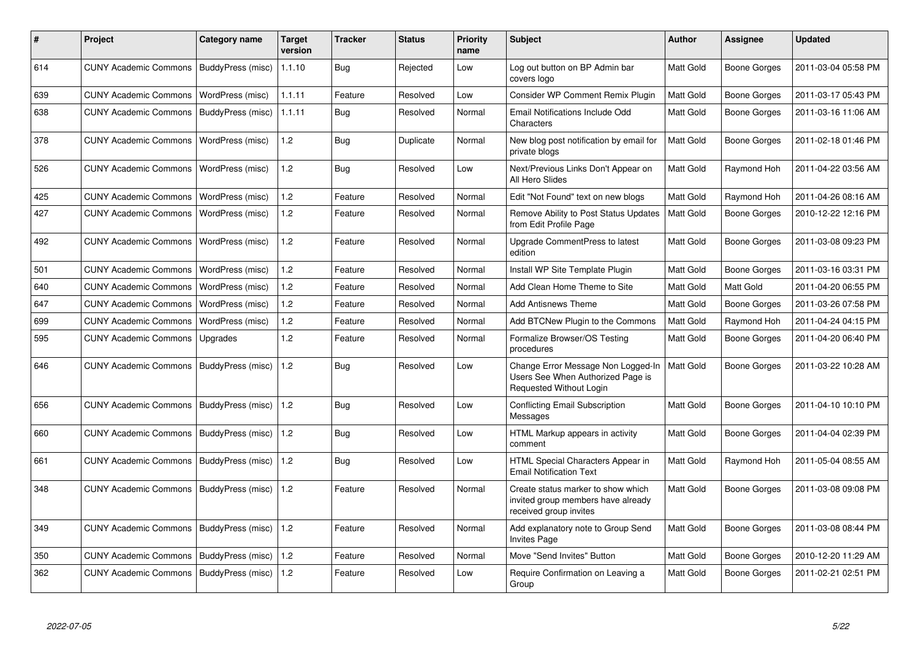| #   | <b>Project</b>                            | Category name     | <b>Target</b><br>version | <b>Tracker</b> | <b>Status</b> | <b>Priority</b><br>name | <b>Subject</b>                                                                                     | Author           | Assignee            | <b>Updated</b>      |
|-----|-------------------------------------------|-------------------|--------------------------|----------------|---------------|-------------------------|----------------------------------------------------------------------------------------------------|------------------|---------------------|---------------------|
| 614 | CUNY Academic Commons   BuddyPress (misc) |                   | 1.1.10                   | <b>Bug</b>     | Rejected      | Low                     | Log out button on BP Admin bar<br>covers logo                                                      | Matt Gold        | <b>Boone Gorges</b> | 2011-03-04 05:58 PM |
| 639 | <b>CUNY Academic Commons</b>              | WordPress (misc)  | 1.1.11                   | Feature        | Resolved      | Low                     | Consider WP Comment Remix Plugin                                                                   | Matt Gold        | <b>Boone Gorges</b> | 2011-03-17 05:43 PM |
| 638 | <b>CUNY Academic Commons</b>              | BuddyPress (misc) | 1.1.11                   | <b>Bug</b>     | Resolved      | Normal                  | <b>Email Notifications Include Odd</b><br>Characters                                               | Matt Gold        | Boone Gorges        | 2011-03-16 11:06 AM |
| 378 | <b>CUNY Academic Commons</b>              | WordPress (misc)  | 1.2                      | Bug            | Duplicate     | Normal                  | New blog post notification by email for<br>private blogs                                           | Matt Gold        | Boone Gorges        | 2011-02-18 01:46 PM |
| 526 | <b>CUNY Academic Commons</b>              | WordPress (misc)  | 1.2                      | Bug            | Resolved      | Low                     | Next/Previous Links Don't Appear on<br>All Hero Slides                                             | Matt Gold        | Raymond Hoh         | 2011-04-22 03:56 AM |
| 425 | <b>CUNY Academic Commons</b>              | WordPress (misc)  | 1.2                      | Feature        | Resolved      | Normal                  | Edit "Not Found" text on new blogs                                                                 | Matt Gold        | Raymond Hoh         | 2011-04-26 08:16 AM |
| 427 | <b>CUNY Academic Commons</b>              | WordPress (misc)  | 1.2                      | Feature        | Resolved      | Normal                  | Remove Ability to Post Status Updates<br>from Edit Profile Page                                    | <b>Matt Gold</b> | Boone Gorges        | 2010-12-22 12:16 PM |
| 492 | <b>CUNY Academic Commons</b>              | WordPress (misc)  | 1.2                      | Feature        | Resolved      | Normal                  | Upgrade CommentPress to latest<br>edition                                                          | Matt Gold        | Boone Gorges        | 2011-03-08 09:23 PM |
| 501 | <b>CUNY Academic Commons</b>              | WordPress (misc)  | 1.2                      | Feature        | Resolved      | Normal                  | Install WP Site Template Plugin                                                                    | Matt Gold        | Boone Gorges        | 2011-03-16 03:31 PM |
| 640 | <b>CUNY Academic Commons</b>              | WordPress (misc)  | 1.2                      | Feature        | Resolved      | Normal                  | Add Clean Home Theme to Site                                                                       | Matt Gold        | Matt Gold           | 2011-04-20 06:55 PM |
| 647 | <b>CUNY Academic Commons</b>              | WordPress (misc)  | 1.2                      | Feature        | Resolved      | Normal                  | <b>Add Antisnews Theme</b>                                                                         | Matt Gold        | <b>Boone Gorges</b> | 2011-03-26 07:58 PM |
| 699 | <b>CUNY Academic Commons</b>              | WordPress (misc)  | $1.2$                    | Feature        | Resolved      | Normal                  | Add BTCNew Plugin to the Commons                                                                   | Matt Gold        | Raymond Hoh         | 2011-04-24 04:15 PM |
| 595 | <b>CUNY Academic Commons</b>              | Upgrades          | 1.2                      | Feature        | Resolved      | Normal                  | Formalize Browser/OS Testing<br>procedures                                                         | Matt Gold        | Boone Gorges        | 2011-04-20 06:40 PM |
| 646 | <b>CUNY Academic Commons</b>              | BuddyPress (misc) | 1.2                      | Bug            | Resolved      | Low                     | Change Error Message Non Logged-In<br>Users See When Authorized Page is<br>Requested Without Login | <b>Matt Gold</b> | Boone Gorges        | 2011-03-22 10:28 AM |
| 656 | <b>CUNY Academic Commons</b>              | BuddyPress (misc) | 1.2                      | <b>Bug</b>     | Resolved      | Low                     | Conflicting Email Subscription<br>Messages                                                         | Matt Gold        | Boone Gorges        | 2011-04-10 10:10 PM |
| 660 | <b>CUNY Academic Commons</b>              | BuddyPress (misc) | 1.2                      | <b>Bug</b>     | Resolved      | Low                     | HTML Markup appears in activity<br>comment                                                         | Matt Gold        | Boone Gorges        | 2011-04-04 02:39 PM |
| 661 | <b>CUNY Academic Commons</b>              | BuddyPress (misc) | 1.2                      | <b>Bug</b>     | Resolved      | Low                     | HTML Special Characters Appear in<br><b>Email Notification Text</b>                                | Matt Gold        | Raymond Hoh         | 2011-05-04 08:55 AM |
| 348 | <b>CUNY Academic Commons</b>              | BuddyPress (misc) | 1.2                      | Feature        | Resolved      | Normal                  | Create status marker to show which<br>invited group members have already<br>received group invites | Matt Gold        | Boone Gorges        | 2011-03-08 09:08 PM |
| 349 | <b>CUNY Academic Commons</b>              | BuddyPress (misc) | 1.2                      | Feature        | Resolved      | Normal                  | Add explanatory note to Group Send<br><b>Invites Page</b>                                          | Matt Gold        | Boone Gorges        | 2011-03-08 08:44 PM |
| 350 | <b>CUNY Academic Commons</b>              | BuddyPress (misc) | 1.2                      | Feature        | Resolved      | Normal                  | Move "Send Invites" Button                                                                         | Matt Gold        | Boone Gorges        | 2010-12-20 11:29 AM |
| 362 | <b>CUNY Academic Commons</b>              | BuddyPress (misc) | 1.2                      | Feature        | Resolved      | Low                     | Require Confirmation on Leaving a<br>Group                                                         | Matt Gold        | Boone Gorges        | 2011-02-21 02:51 PM |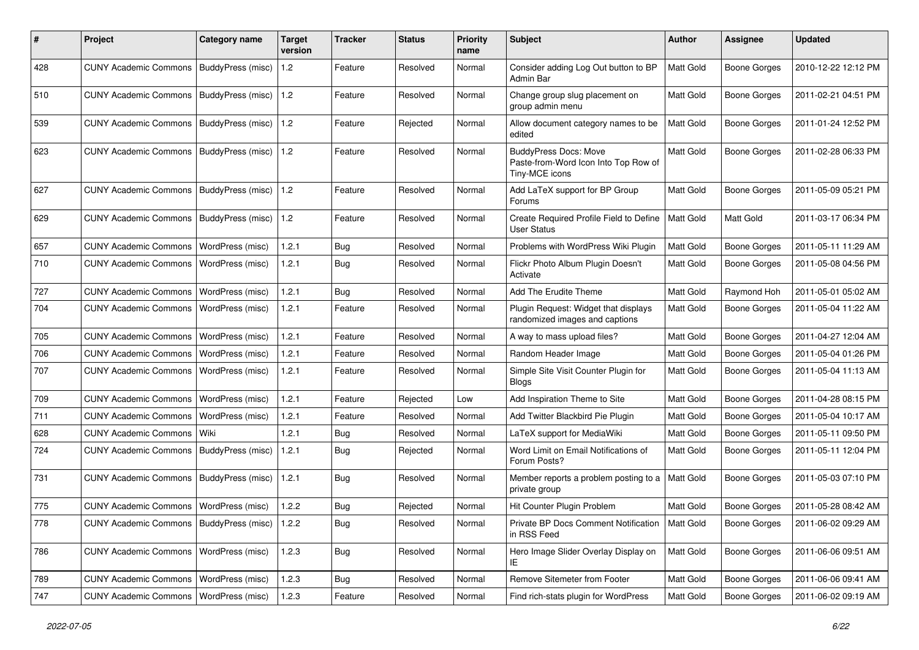| #   | Project                                           | <b>Category name</b> | Target<br>version | Tracker    | <b>Status</b> | <b>Priority</b><br>name | <b>Subject</b>                                                                         | <b>Author</b> | <b>Assignee</b>     | <b>Updated</b>      |
|-----|---------------------------------------------------|----------------------|-------------------|------------|---------------|-------------------------|----------------------------------------------------------------------------------------|---------------|---------------------|---------------------|
| 428 | CUNY Academic Commons   BuddyPress (misc)         |                      | 1.2               | Feature    | Resolved      | Normal                  | Consider adding Log Out button to BP<br>Admin Bar                                      | Matt Gold     | <b>Boone Gorges</b> | 2010-12-22 12:12 PM |
| 510 | <b>CUNY Academic Commons</b>                      | BuddyPress (misc)    | 1.2               | Feature    | Resolved      | Normal                  | Change group slug placement on<br>group admin menu                                     | Matt Gold     | <b>Boone Gorges</b> | 2011-02-21 04:51 PM |
| 539 | <b>CUNY Academic Commons</b>                      | BuddyPress (misc)    | 1.2               | Feature    | Rejected      | Normal                  | Allow document category names to be<br>edited                                          | Matt Gold     | <b>Boone Gorges</b> | 2011-01-24 12:52 PM |
| 623 | <b>CUNY Academic Commons</b>                      | BuddyPress (misc)    | 1.2               | Feature    | Resolved      | Normal                  | <b>BuddyPress Docs: Move</b><br>Paste-from-Word Icon Into Top Row of<br>Tiny-MCE icons | Matt Gold     | <b>Boone Gorges</b> | 2011-02-28 06:33 PM |
| 627 | <b>CUNY Academic Commons</b>                      | BuddyPress (misc)    | 1.2               | Feature    | Resolved      | Normal                  | Add LaTeX support for BP Group<br>Forums                                               | Matt Gold     | <b>Boone Gorges</b> | 2011-05-09 05:21 PM |
| 629 | <b>CUNY Academic Commons</b>                      | BuddyPress (misc)    | 1.2               | Feature    | Resolved      | Normal                  | Create Required Profile Field to Define<br><b>User Status</b>                          | Matt Gold     | Matt Gold           | 2011-03-17 06:34 PM |
| 657 | <b>CUNY Academic Commons</b>                      | WordPress (misc)     | 1.2.1             | <b>Bug</b> | Resolved      | Normal                  | Problems with WordPress Wiki Plugin                                                    | Matt Gold     | <b>Boone Gorges</b> | 2011-05-11 11:29 AM |
| 710 | <b>CUNY Academic Commons</b>                      | WordPress (misc)     | 1.2.1             | Bug        | Resolved      | Normal                  | Flickr Photo Album Plugin Doesn't<br>Activate                                          | Matt Gold     | <b>Boone Gorges</b> | 2011-05-08 04:56 PM |
| 727 | <b>CUNY Academic Commons</b>                      | WordPress (misc)     | 1.2.1             | <b>Bug</b> | Resolved      | Normal                  | Add The Erudite Theme                                                                  | Matt Gold     | Raymond Hoh         | 2011-05-01 05:02 AM |
| 704 | <b>CUNY Academic Commons</b>                      | WordPress (misc)     | 1.2.1             | Feature    | Resolved      | Normal                  | Plugin Request: Widget that displays<br>randomized images and captions                 | Matt Gold     | <b>Boone Gorges</b> | 2011-05-04 11:22 AM |
| 705 | <b>CUNY Academic Commons</b>                      | WordPress (misc)     | 1.2.1             | Feature    | Resolved      | Normal                  | A way to mass upload files?                                                            | Matt Gold     | <b>Boone Gorges</b> | 2011-04-27 12:04 AM |
| 706 | <b>CUNY Academic Commons</b>                      | WordPress (misc)     | 1.2.1             | Feature    | Resolved      | Normal                  | Random Header Image                                                                    | Matt Gold     | <b>Boone Gorges</b> | 2011-05-04 01:26 PM |
| 707 | <b>CUNY Academic Commons</b>                      | WordPress (misc)     | 1.2.1             | Feature    | Resolved      | Normal                  | Simple Site Visit Counter Plugin for<br><b>Blogs</b>                                   | Matt Gold     | <b>Boone Gorges</b> | 2011-05-04 11:13 AM |
| 709 | <b>CUNY Academic Commons</b>                      | WordPress (misc)     | 1.2.1             | Feature    | Rejected      | Low                     | Add Inspiration Theme to Site                                                          | Matt Gold     | <b>Boone Gorges</b> | 2011-04-28 08:15 PM |
| 711 | <b>CUNY Academic Commons</b>                      | WordPress (misc)     | 1.2.1             | Feature    | Resolved      | Normal                  | Add Twitter Blackbird Pie Plugin                                                       | Matt Gold     | <b>Boone Gorges</b> | 2011-05-04 10:17 AM |
| 628 | <b>CUNY Academic Commons</b>                      | Wiki                 | 1.2.1             | <b>Bug</b> | Resolved      | Normal                  | LaTeX support for MediaWiki                                                            | Matt Gold     | <b>Boone Gorges</b> | 2011-05-11 09:50 PM |
| 724 | <b>CUNY Academic Commons</b>                      | BuddyPress (misc)    | 1.2.1             | <b>Bug</b> | Rejected      | Normal                  | Word Limit on Email Notifications of<br>Forum Posts?                                   | Matt Gold     | <b>Boone Gorges</b> | 2011-05-11 12:04 PM |
| 731 | <b>CUNY Academic Commons</b>                      | BuddyPress (misc)    | 1.2.1             | <b>Bug</b> | Resolved      | Normal                  | Member reports a problem posting to a<br>private group                                 | Matt Gold     | <b>Boone Gorges</b> | 2011-05-03 07:10 PM |
| 775 | <b>CUNY Academic Commons</b>                      | WordPress (misc)     | 1.2.2             | Bug        | Rejected      | Normal                  | Hit Counter Plugin Problem                                                             | Matt Gold     | <b>Boone Gorges</b> | 2011-05-28 08:42 AM |
| 778 | CUNY Academic Commons   BuddyPress (misc)   1.2.2 |                      |                   | <b>Bug</b> | Resolved      | Normal                  | Private BP Docs Comment Notification   Matt Gold<br>in RSS Feed                        |               | <b>Boone Gorges</b> | 2011-06-02 09:29 AM |
| 786 | CUNY Academic Commons   WordPress (misc)          |                      | 1.2.3             | <b>Bug</b> | Resolved      | Normal                  | Hero Image Slider Overlay Display on<br>IE.                                            | Matt Gold     | Boone Gorges        | 2011-06-06 09:51 AM |
| 789 | <b>CUNY Academic Commons</b>                      | WordPress (misc)     | 1.2.3             | Bug        | Resolved      | Normal                  | Remove Sitemeter from Footer                                                           | Matt Gold     | <b>Boone Gorges</b> | 2011-06-06 09:41 AM |
| 747 | CUNY Academic Commons   WordPress (misc)          |                      | 1.2.3             | Feature    | Resolved      | Normal                  | Find rich-stats plugin for WordPress                                                   | Matt Gold     | Boone Gorges        | 2011-06-02 09:19 AM |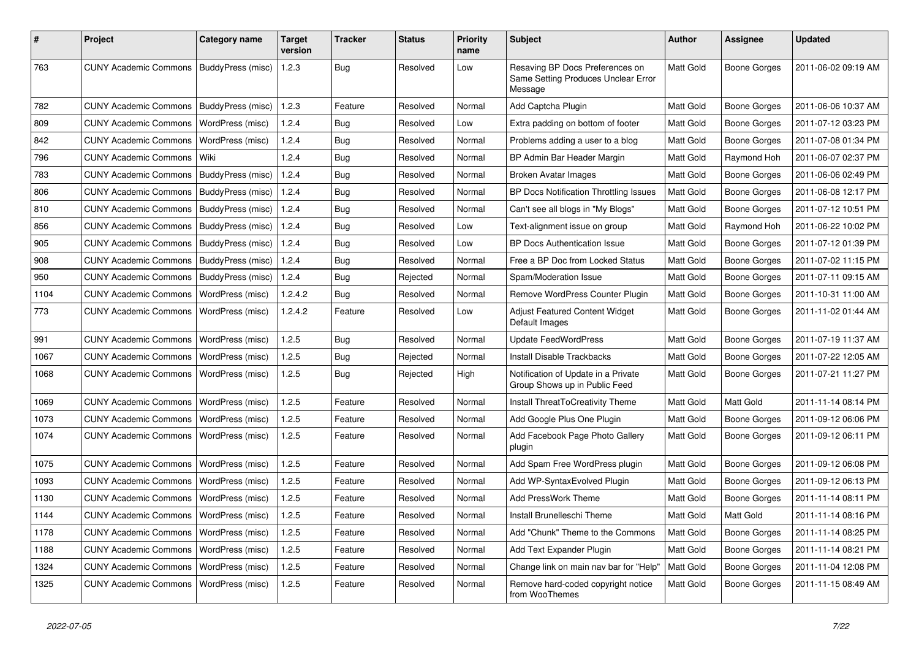| #    | Project                                   | Category name     | <b>Target</b><br>version | Tracker    | <b>Status</b> | Priority<br>name | <b>Subject</b>                                                                    | <b>Author</b> | <b>Assignee</b>     | <b>Updated</b>      |
|------|-------------------------------------------|-------------------|--------------------------|------------|---------------|------------------|-----------------------------------------------------------------------------------|---------------|---------------------|---------------------|
| 763  | CUNY Academic Commons   BuddyPress (misc) |                   | 1.2.3                    | <b>Bug</b> | Resolved      | Low              | Resaving BP Docs Preferences on<br>Same Setting Produces Unclear Error<br>Message | Matt Gold     | <b>Boone Gorges</b> | 2011-06-02 09:19 AM |
| 782  | CUNY Academic Commons   BuddyPress (misc) |                   | 1.2.3                    | Feature    | Resolved      | Normal           | Add Captcha Plugin                                                                | Matt Gold     | Boone Gorges        | 2011-06-06 10:37 AM |
| 809  | <b>CUNY Academic Commons</b>              | WordPress (misc)  | 1.2.4                    | <b>Bug</b> | Resolved      | Low              | Extra padding on bottom of footer                                                 | Matt Gold     | Boone Gorges        | 2011-07-12 03:23 PM |
| 842  | <b>CUNY Academic Commons</b>              | WordPress (misc)  | 1.2.4                    | <b>Bug</b> | Resolved      | Normal           | Problems adding a user to a blog                                                  | Matt Gold     | Boone Gorges        | 2011-07-08 01:34 PM |
| 796  | <b>CUNY Academic Commons</b>              | l Wiki            | 1.2.4                    | <b>Bug</b> | Resolved      | Normal           | BP Admin Bar Header Margin                                                        | Matt Gold     | Raymond Hoh         | 2011-06-07 02:37 PM |
| 783  | CUNY Academic Commons   BuddyPress (misc) |                   | 1.2.4                    | <b>Bug</b> | Resolved      | Normal           | Broken Avatar Images                                                              | Matt Gold     | Boone Gorges        | 2011-06-06 02:49 PM |
| 806  | <b>CUNY Academic Commons</b>              | BuddyPress (misc) | 1.2.4                    | <b>Bug</b> | Resolved      | Normal           | BP Docs Notification Throttling Issues                                            | Matt Gold     | Boone Gorges        | 2011-06-08 12:17 PM |
| 810  | <b>CUNY Academic Commons</b>              | BuddyPress (misc) | 1.2.4                    | <b>Bug</b> | Resolved      | Normal           | Can't see all blogs in "My Blogs"                                                 | Matt Gold     | Boone Gorges        | 2011-07-12 10:51 PM |
| 856  | <b>CUNY Academic Commons</b>              | BuddyPress (misc) | 1.2.4                    | <b>Bug</b> | Resolved      | Low              | Text-alignment issue on group                                                     | Matt Gold     | Raymond Hoh         | 2011-06-22 10:02 PM |
| 905  | <b>CUNY Academic Commons</b>              | BuddyPress (misc) | 1.2.4                    | <b>Bug</b> | Resolved      | Low              | BP Docs Authentication Issue                                                      | Matt Gold     | Boone Gorges        | 2011-07-12 01:39 PM |
| 908  | <b>CUNY Academic Commons</b>              | BuddyPress (misc) | 1.2.4                    | <b>Bug</b> | Resolved      | Normal           | Free a BP Doc from Locked Status                                                  | Matt Gold     | Boone Gorges        | 2011-07-02 11:15 PM |
| 950  | <b>CUNY Academic Commons</b>              | BuddyPress (misc) | 1.2.4                    | <b>Bug</b> | Rejected      | Normal           | Spam/Moderation Issue                                                             | Matt Gold     | Boone Gorges        | 2011-07-11 09:15 AM |
| 1104 | <b>CUNY Academic Commons</b>              | WordPress (misc)  | 1.2.4.2                  | <b>Bug</b> | Resolved      | Normal           | Remove WordPress Counter Plugin                                                   | Matt Gold     | Boone Gorges        | 2011-10-31 11:00 AM |
| 773  | <b>CUNY Academic Commons</b>              | WordPress (misc)  | 1.2.4.2                  | Feature    | Resolved      | Low              | Adjust Featured Content Widget<br>Default Images                                  | Matt Gold     | Boone Gorges        | 2011-11-02 01:44 AM |
| 991  | <b>CUNY Academic Commons</b>              | WordPress (misc)  | 1.2.5                    | <b>Bug</b> | Resolved      | Normal           | Update FeedWordPress                                                              | Matt Gold     | Boone Gorges        | 2011-07-19 11:37 AM |
| 1067 | <b>CUNY Academic Commons</b>              | WordPress (misc)  | 1.2.5                    | <b>Bug</b> | Rejected      | Normal           | <b>Install Disable Trackbacks</b>                                                 | Matt Gold     | Boone Gorges        | 2011-07-22 12:05 AM |
| 1068 | CUNY Academic Commons   WordPress (misc)  |                   | 1.2.5                    | Bug        | Rejected      | High             | Notification of Update in a Private<br>Group Shows up in Public Feed              | Matt Gold     | Boone Gorges        | 2011-07-21 11:27 PM |
| 1069 | <b>CUNY Academic Commons</b>              | WordPress (misc)  | 1.2.5                    | Feature    | Resolved      | Normal           | Install ThreatToCreativity Theme                                                  | Matt Gold     | Matt Gold           | 2011-11-14 08:14 PM |
| 1073 | <b>CUNY Academic Commons</b>              | WordPress (misc)  | 1.2.5                    | Feature    | Resolved      | Normal           | Add Google Plus One Plugin                                                        | Matt Gold     | <b>Boone Gorges</b> | 2011-09-12 06:06 PM |
| 1074 | <b>CUNY Academic Commons</b>              | WordPress (misc)  | 1.2.5                    | Feature    | Resolved      | Normal           | Add Facebook Page Photo Gallery<br>plugin                                         | Matt Gold     | Boone Gorges        | 2011-09-12 06:11 PM |
| 1075 | <b>CUNY Academic Commons</b>              | WordPress (misc)  | 1.2.5                    | Feature    | Resolved      | Normal           | Add Spam Free WordPress plugin                                                    | Matt Gold     | <b>Boone Gorges</b> | 2011-09-12 06:08 PM |
| 1093 | <b>CUNY Academic Commons</b>              | WordPress (misc)  | 1.2.5                    | Feature    | Resolved      | Normal           | Add WP-SyntaxEvolved Plugin                                                       | Matt Gold     | Boone Gorges        | 2011-09-12 06:13 PM |
| 1130 | <b>CUNY Academic Commons</b>              | WordPress (misc)  | 1.2.5                    | Feature    | Resolved      | Normal           | Add PressWork Theme                                                               | Matt Gold     | Boone Gorges        | 2011-11-14 08:11 PM |
| 1144 | <b>CUNY Academic Commons</b>              | WordPress (misc)  | 1.2.5                    | Feature    | Resolved      | Normal           | Install Brunelleschi Theme                                                        | Matt Gold     | Matt Gold           | 2011-11-14 08:16 PM |
| 1178 | <b>CUNY Academic Commons</b>              | WordPress (misc)  | 1.2.5                    | Feature    | Resolved      | Normal           | Add "Chunk" Theme to the Commons                                                  | Matt Gold     | Boone Gorges        | 2011-11-14 08:25 PM |
| 1188 | <b>CUNY Academic Commons</b>              | WordPress (misc)  | 1.2.5                    | Feature    | Resolved      | Normal           | Add Text Expander Plugin                                                          | Matt Gold     | Boone Gorges        | 2011-11-14 08:21 PM |
| 1324 | <b>CUNY Academic Commons</b>              | WordPress (misc)  | 1.2.5                    | Feature    | Resolved      | Normal           | Change link on main nav bar for "Help"                                            | Matt Gold     | Boone Gorges        | 2011-11-04 12:08 PM |
| 1325 | <b>CUNY Academic Commons</b>              | WordPress (misc)  | 1.2.5                    | Feature    | Resolved      | Normal           | Remove hard-coded copyright notice<br>from WooThemes                              | Matt Gold     | Boone Gorges        | 2011-11-15 08:49 AM |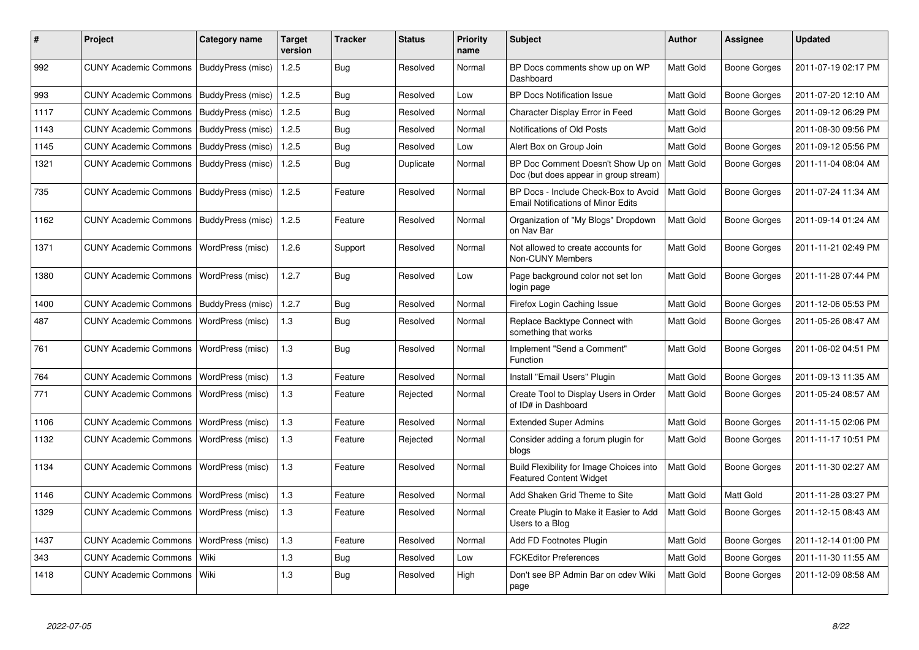| $\pmb{\#}$ | Project                                   | Category name            | <b>Target</b><br>version | <b>Tracker</b> | <b>Status</b> | <b>Priority</b><br>name | <b>Subject</b>                                                                    | <b>Author</b>    | Assignee            | <b>Updated</b>      |
|------------|-------------------------------------------|--------------------------|--------------------------|----------------|---------------|-------------------------|-----------------------------------------------------------------------------------|------------------|---------------------|---------------------|
| 992        | CUNY Academic Commons   BuddyPress (misc) |                          | 1.2.5                    | Bug            | Resolved      | Normal                  | BP Docs comments show up on WP<br>Dashboard                                       | Matt Gold        | Boone Gorges        | 2011-07-19 02:17 PM |
| 993        | <b>CUNY Academic Commons</b>              | BuddyPress (misc)        | 1.2.5                    | Bug            | Resolved      | Low                     | <b>BP Docs Notification Issue</b>                                                 | <b>Matt Gold</b> | <b>Boone Gorges</b> | 2011-07-20 12:10 AM |
| 1117       | <b>CUNY Academic Commons</b>              | BuddyPress (misc)        | 1.2.5                    | Bug            | Resolved      | Normal                  | Character Display Error in Feed                                                   | Matt Gold        | Boone Gorges        | 2011-09-12 06:29 PM |
| 1143       | <b>CUNY Academic Commons</b>              | BuddyPress (misc)        | 1.2.5                    | Bug            | Resolved      | Normal                  | Notifications of Old Posts                                                        | Matt Gold        |                     | 2011-08-30 09:56 PM |
| 1145       | <b>CUNY Academic Commons</b>              | BuddyPress (misc)        | 1.2.5                    | Bug            | Resolved      | Low                     | Alert Box on Group Join                                                           | Matt Gold        | Boone Gorges        | 2011-09-12 05:56 PM |
| 1321       | <b>CUNY Academic Commons</b>              | BuddyPress (misc)        | 1.2.5                    | Bug            | Duplicate     | Normal                  | BP Doc Comment Doesn't Show Up on<br>Doc (but does appear in group stream)        | <b>Matt Gold</b> | Boone Gorges        | 2011-11-04 08:04 AM |
| 735        | <b>CUNY Academic Commons</b>              | BuddyPress (misc)        | 1.2.5                    | Feature        | Resolved      | Normal                  | BP Docs - Include Check-Box to Avoid<br><b>Email Notifications of Minor Edits</b> | Matt Gold        | Boone Gorges        | 2011-07-24 11:34 AM |
| 1162       | <b>CUNY Academic Commons</b>              | BuddyPress (misc)        | 1.2.5                    | Feature        | Resolved      | Normal                  | Organization of "My Blogs" Dropdown<br>on Nav Bar                                 | Matt Gold        | <b>Boone Gorges</b> | 2011-09-14 01:24 AM |
| 1371       | <b>CUNY Academic Commons</b>              | WordPress (misc)         | 1.2.6                    | Support        | Resolved      | Normal                  | Not allowed to create accounts for<br>Non-CUNY Members                            | Matt Gold        | Boone Gorges        | 2011-11-21 02:49 PM |
| 1380       | <b>CUNY Academic Commons</b>              | WordPress (misc)         | 1.2.7                    | <b>Bug</b>     | Resolved      | Low                     | Page background color not set lon<br>login page                                   | Matt Gold        | <b>Boone Gorges</b> | 2011-11-28 07:44 PM |
| 1400       | <b>CUNY Academic Commons</b>              | <b>BuddyPress</b> (misc) | 1.2.7                    | <b>Bug</b>     | Resolved      | Normal                  | Firefox Login Caching Issue                                                       | Matt Gold        | Boone Gorges        | 2011-12-06 05:53 PM |
| 487        | <b>CUNY Academic Commons</b>              | WordPress (misc)         | 1.3                      | Bug            | Resolved      | Normal                  | Replace Backtype Connect with<br>something that works                             | Matt Gold        | Boone Gorges        | 2011-05-26 08:47 AM |
| 761        | <b>CUNY Academic Commons</b>              | WordPress (misc)         | 1.3                      | <b>Bug</b>     | Resolved      | Normal                  | Implement "Send a Comment"<br>Function                                            | Matt Gold        | Boone Gorges        | 2011-06-02 04:51 PM |
| 764        | <b>CUNY Academic Commons</b>              | WordPress (misc)         | 1.3                      | Feature        | Resolved      | Normal                  | Install "Email Users" Plugin                                                      | Matt Gold        | Boone Gorges        | 2011-09-13 11:35 AM |
| 771        | <b>CUNY Academic Commons</b>              | WordPress (misc)         | 1.3                      | Feature        | Rejected      | Normal                  | Create Tool to Display Users in Order<br>of ID# in Dashboard                      | Matt Gold        | Boone Gorges        | 2011-05-24 08:57 AM |
| 1106       | <b>CUNY Academic Commons</b>              | WordPress (misc)         | 1.3                      | Feature        | Resolved      | Normal                  | <b>Extended Super Admins</b>                                                      | Matt Gold        | Boone Gorges        | 2011-11-15 02:06 PM |
| 1132       | <b>CUNY Academic Commons</b>              | WordPress (misc)         | 1.3                      | Feature        | Rejected      | Normal                  | Consider adding a forum plugin for<br>blogs                                       | Matt Gold        | Boone Gorges        | 2011-11-17 10:51 PM |
| 1134       | <b>CUNY Academic Commons</b>              | WordPress (misc)         | 1.3                      | Feature        | Resolved      | Normal                  | Build Flexibility for Image Choices into<br><b>Featured Content Widget</b>        | Matt Gold        | Boone Gorges        | 2011-11-30 02:27 AM |
| 1146       | <b>CUNY Academic Commons</b>              | WordPress (misc)         | 1.3                      | Feature        | Resolved      | Normal                  | Add Shaken Grid Theme to Site                                                     | Matt Gold        | Matt Gold           | 2011-11-28 03:27 PM |
| 1329       | <b>CUNY Academic Commons</b>              | WordPress (misc)         | 1.3                      | Feature        | Resolved      | Normal                  | Create Plugin to Make it Easier to Add<br>Users to a Blog                         | Matt Gold        | Boone Gorges        | 2011-12-15 08:43 AM |
| 1437       | <b>CUNY Academic Commons</b>              | WordPress (misc)         | 1.3                      | Feature        | Resolved      | Normal                  | Add FD Footnotes Plugin                                                           | Matt Gold        | Boone Gorges        | 2011-12-14 01:00 PM |
| 343        | <b>CUNY Academic Commons</b>              | Wiki                     | 1.3                      | Bug            | Resolved      | Low                     | <b>FCKEditor Preferences</b>                                                      | Matt Gold        | Boone Gorges        | 2011-11-30 11:55 AM |
| 1418       | <b>CUNY Academic Commons</b>              | Wiki                     | 1.3                      | Bug            | Resolved      | High                    | Don't see BP Admin Bar on cdev Wiki<br>page                                       | Matt Gold        | <b>Boone Gorges</b> | 2011-12-09 08:58 AM |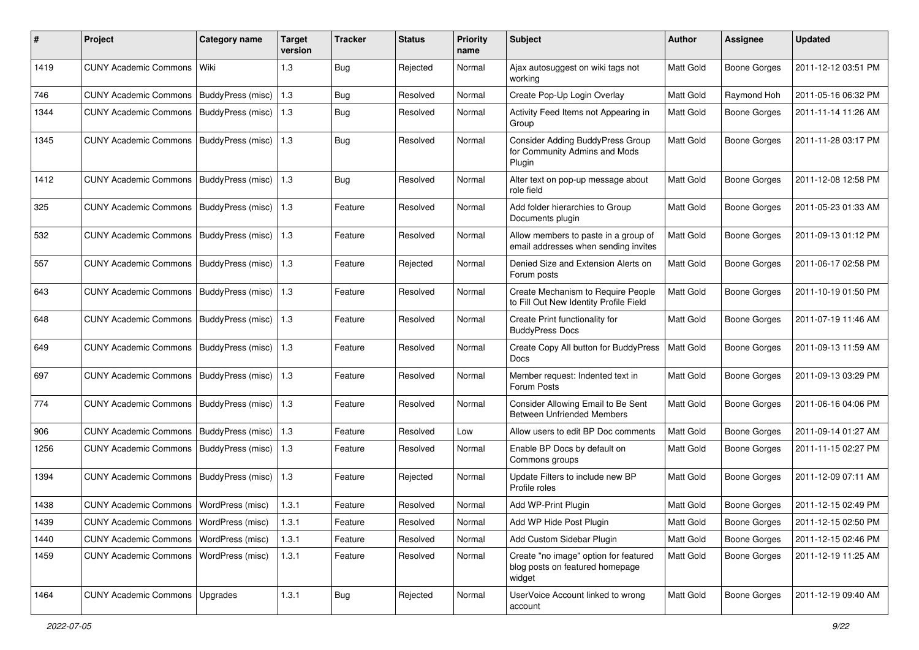| $\#$ | Project                                   | <b>Category name</b> | <b>Target</b><br>version | <b>Tracker</b> | <b>Status</b> | <b>Priority</b><br>name | Subject                                                                            | <b>Author</b> | Assignee            | <b>Updated</b>      |
|------|-------------------------------------------|----------------------|--------------------------|----------------|---------------|-------------------------|------------------------------------------------------------------------------------|---------------|---------------------|---------------------|
| 1419 | <b>CUNY Academic Commons</b>              | Wiki                 | 1.3                      | <b>Bug</b>     | Rejected      | Normal                  | Ajax autosuggest on wiki tags not<br>workina                                       | Matt Gold     | <b>Boone Gorges</b> | 2011-12-12 03:51 PM |
| 746  | <b>CUNY Academic Commons</b>              | BuddyPress (misc)    | $1.3$                    | <b>Bug</b>     | Resolved      | Normal                  | Create Pop-Up Login Overlay                                                        | Matt Gold     | Raymond Hoh         | 2011-05-16 06:32 PM |
| 1344 | <b>CUNY Academic Commons</b>              | BuddyPress (misc)    | 1.3                      | <b>Bug</b>     | Resolved      | Normal                  | Activity Feed Items not Appearing in<br>Group                                      | Matt Gold     | <b>Boone Gorges</b> | 2011-11-14 11:26 AM |
| 1345 | <b>CUNY Academic Commons</b>              | BuddyPress (misc)    | 1.3                      | Bug            | Resolved      | Normal                  | Consider Adding BuddyPress Group<br>for Community Admins and Mods<br>Plugin        | Matt Gold     | <b>Boone Gorges</b> | 2011-11-28 03:17 PM |
| 1412 | <b>CUNY Academic Commons</b>              | BuddyPress (misc)    | 1.3                      | <b>Bug</b>     | Resolved      | Normal                  | Alter text on pop-up message about<br>role field                                   | Matt Gold     | <b>Boone Gorges</b> | 2011-12-08 12:58 PM |
| 325  | <b>CUNY Academic Commons</b>              | BuddyPress (misc)    | 1.3                      | Feature        | Resolved      | Normal                  | Add folder hierarchies to Group<br>Documents plugin                                | Matt Gold     | <b>Boone Gorges</b> | 2011-05-23 01:33 AM |
| 532  | <b>CUNY Academic Commons</b>              | BuddyPress (misc)    | 1.3                      | Feature        | Resolved      | Normal                  | Allow members to paste in a group of<br>email addresses when sending invites       | Matt Gold     | <b>Boone Gorges</b> | 2011-09-13 01:12 PM |
| 557  | <b>CUNY Academic Commons</b>              | BuddyPress (misc)    | 1.3                      | Feature        | Rejected      | Normal                  | Denied Size and Extension Alerts on<br>Forum posts                                 | Matt Gold     | <b>Boone Gorges</b> | 2011-06-17 02:58 PM |
| 643  | <b>CUNY Academic Commons</b>              | BuddyPress (misc)    | 1.3                      | Feature        | Resolved      | Normal                  | Create Mechanism to Require People<br>to Fill Out New Identity Profile Field       | Matt Gold     | <b>Boone Gorges</b> | 2011-10-19 01:50 PM |
| 648  | <b>CUNY Academic Commons</b>              | BuddyPress (misc)    | 1.3                      | Feature        | Resolved      | Normal                  | Create Print functionality for<br><b>BuddyPress Docs</b>                           | Matt Gold     | <b>Boone Gorges</b> | 2011-07-19 11:46 AM |
| 649  | <b>CUNY Academic Commons</b>              | BuddyPress (misc)    | 1.3                      | Feature        | Resolved      | Normal                  | Create Copy All button for BuddyPress<br><b>Docs</b>                               | Matt Gold     | <b>Boone Gorges</b> | 2011-09-13 11:59 AM |
| 697  | <b>CUNY Academic Commons</b>              | BuddyPress (misc)    | 1.3                      | Feature        | Resolved      | Normal                  | Member request: Indented text in<br>Forum Posts                                    | Matt Gold     | <b>Boone Gorges</b> | 2011-09-13 03:29 PM |
| 774  | CUNY Academic Commons   BuddyPress (misc) |                      | 1.3                      | Feature        | Resolved      | Normal                  | Consider Allowing Email to Be Sent<br><b>Between Unfriended Members</b>            | Matt Gold     | <b>Boone Gorges</b> | 2011-06-16 04:06 PM |
| 906  | <b>CUNY Academic Commons</b>              | BuddyPress (misc)    | 1.3                      | Feature        | Resolved      | Low                     | Allow users to edit BP Doc comments                                                | Matt Gold     | <b>Boone Gorges</b> | 2011-09-14 01:27 AM |
| 1256 | <b>CUNY Academic Commons</b>              | BuddyPress (misc)    | 1.3                      | Feature        | Resolved      | Normal                  | Enable BP Docs by default on<br>Commons groups                                     | Matt Gold     | <b>Boone Gorges</b> | 2011-11-15 02:27 PM |
| 1394 | <b>CUNY Academic Commons</b>              | BuddyPress (misc)    | 1.3                      | Feature        | Rejected      | Normal                  | Update Filters to include new BP<br>Profile roles                                  | Matt Gold     | <b>Boone Gorges</b> | 2011-12-09 07:11 AM |
| 1438 | <b>CUNY Academic Commons</b>              | WordPress (misc)     | 1.3.1                    | Feature        | Resolved      | Normal                  | Add WP-Print Plugin                                                                | Matt Gold     | <b>Boone Gorges</b> | 2011-12-15 02:49 PM |
| 1439 | CUNY Academic Commons   WordPress (misc)  |                      | 1.3.1                    | Feature        | Resolved      | Normal                  | Add WP Hide Post Plugin                                                            | Matt Gold     | Boone Gorges        | 2011-12-15 02:50 PM |
| 1440 | <b>CUNY Academic Commons</b>              | WordPress (misc)     | 1.3.1                    | Feature        | Resolved      | Normal                  | Add Custom Sidebar Plugin                                                          | Matt Gold     | <b>Boone Gorges</b> | 2011-12-15 02:46 PM |
| 1459 | <b>CUNY Academic Commons</b>              | WordPress (misc)     | 1.3.1                    | Feature        | Resolved      | Normal                  | Create "no image" option for featured<br>blog posts on featured homepage<br>widget | Matt Gold     | <b>Boone Gorges</b> | 2011-12-19 11:25 AM |
| 1464 | CUNY Academic Commons   Upgrades          |                      | 1.3.1                    | Bug            | Rejected      | Normal                  | UserVoice Account linked to wrong<br>account                                       | Matt Gold     | <b>Boone Gorges</b> | 2011-12-19 09:40 AM |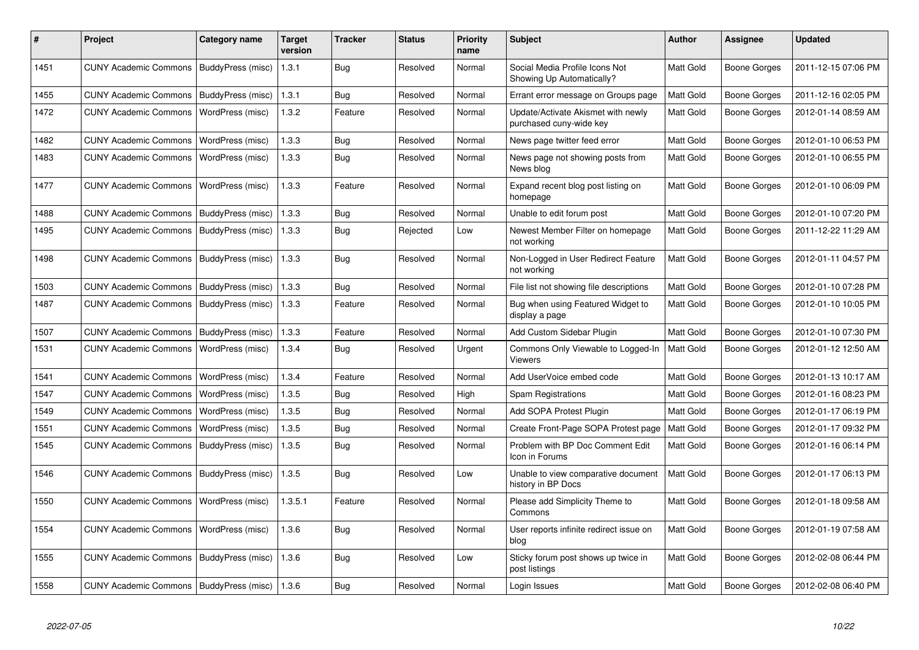| #    | <b>Project</b>                            | Category name            | <b>Target</b><br>version | <b>Tracker</b> | <b>Status</b> | Priority<br>name | <b>Subject</b>                                                | Author           | Assignee            | <b>Updated</b>      |
|------|-------------------------------------------|--------------------------|--------------------------|----------------|---------------|------------------|---------------------------------------------------------------|------------------|---------------------|---------------------|
| 1451 | CUNY Academic Commons   BuddyPress (misc) |                          | 1.3.1                    | Bug            | Resolved      | Normal           | Social Media Profile Icons Not<br>Showing Up Automatically?   | <b>Matt Gold</b> | <b>Boone Gorges</b> | 2011-12-15 07:06 PM |
| 1455 | CUNY Academic Commons   BuddyPress (misc) |                          | 1.3.1                    | Bug            | Resolved      | Normal           | Errant error message on Groups page                           | <b>Matt Gold</b> | Boone Gorges        | 2011-12-16 02:05 PM |
| 1472 | <b>CUNY Academic Commons</b>              | WordPress (misc)         | 1.3.2                    | Feature        | Resolved      | Normal           | Update/Activate Akismet with newly<br>purchased cuny-wide key | Matt Gold        | <b>Boone Gorges</b> | 2012-01-14 08:59 AM |
| 1482 | <b>CUNY Academic Commons</b>              | WordPress (misc)         | 1.3.3                    | Bug            | Resolved      | Normal           | News page twitter feed error                                  | Matt Gold        | Boone Gorges        | 2012-01-10 06:53 PM |
| 1483 | <b>CUNY Academic Commons</b>              | WordPress (misc)         | 1.3.3                    | Bug            | Resolved      | Normal           | News page not showing posts from<br>News blog                 | <b>Matt Gold</b> | Boone Gorges        | 2012-01-10 06:55 PM |
| 1477 | CUNY Academic Commons   WordPress (misc)  |                          | 1.3.3                    | Feature        | Resolved      | Normal           | Expand recent blog post listing on<br>homepage                | <b>Matt Gold</b> | Boone Gorges        | 2012-01-10 06:09 PM |
| 1488 | <b>CUNY Academic Commons</b>              | <b>BuddyPress</b> (misc) | 1.3.3                    | Bug            | Resolved      | Normal           | Unable to edit forum post                                     | <b>Matt Gold</b> | <b>Boone Gorges</b> | 2012-01-10 07:20 PM |
| 1495 | CUNY Academic Commons   BuddyPress (misc) |                          | 1.3.3                    | <b>Bug</b>     | Rejected      | Low              | Newest Member Filter on homepage<br>not working               | <b>Matt Gold</b> | Boone Gorges        | 2011-12-22 11:29 AM |
| 1498 | <b>CUNY Academic Commons</b>              | BuddyPress (misc)        | 1.3.3                    | Bug            | Resolved      | Normal           | Non-Logged in User Redirect Feature<br>not working            | Matt Gold        | Boone Gorges        | 2012-01-11 04:57 PM |
| 1503 | <b>CUNY Academic Commons</b>              | BuddyPress (misc)        | 1.3.3                    | Bug            | Resolved      | Normal           | File list not showing file descriptions                       | <b>Matt Gold</b> | Boone Gorges        | 2012-01-10 07:28 PM |
| 1487 | <b>CUNY Academic Commons</b>              | BuddyPress (misc)        | 1.3.3                    | Feature        | Resolved      | Normal           | Bug when using Featured Widget to<br>display a page           | <b>Matt Gold</b> | Boone Gorges        | 2012-01-10 10:05 PM |
| 1507 | <b>CUNY Academic Commons</b>              | BuddyPress (misc)        | 1.3.3                    | Feature        | Resolved      | Normal           | Add Custom Sidebar Plugin                                     | <b>Matt Gold</b> | Boone Gorges        | 2012-01-10 07:30 PM |
| 1531 | <b>CUNY Academic Commons</b>              | WordPress (misc)         | 1.3.4                    | Bug            | Resolved      | Urgent           | Commons Only Viewable to Logged-In<br><b>Viewers</b>          | Matt Gold        | Boone Gorges        | 2012-01-12 12:50 AM |
| 1541 | <b>CUNY Academic Commons</b>              | WordPress (misc)         | 1.3.4                    | Feature        | Resolved      | Normal           | Add UserVoice embed code                                      | <b>Matt Gold</b> | Boone Gorges        | 2012-01-13 10:17 AM |
| 1547 | <b>CUNY Academic Commons</b>              | WordPress (misc)         | 1.3.5                    | Bug            | Resolved      | High             | <b>Spam Registrations</b>                                     | <b>Matt Gold</b> | Boone Gorges        | 2012-01-16 08:23 PM |
| 1549 | <b>CUNY Academic Commons</b>              | WordPress (misc)         | 1.3.5                    | <b>Bug</b>     | Resolved      | Normal           | Add SOPA Protest Plugin                                       | Matt Gold        | Boone Gorges        | 2012-01-17 06:19 PM |
| 1551 | <b>CUNY Academic Commons</b>              | WordPress (misc)         | 1.3.5                    | Bug            | Resolved      | Normal           | Create Front-Page SOPA Protest page                           | <b>Matt Gold</b> | <b>Boone Gorges</b> | 2012-01-17 09:32 PM |
| 1545 | <b>CUNY Academic Commons</b>              | BuddyPress (misc)        | 1.3.5                    | <b>Bug</b>     | Resolved      | Normal           | Problem with BP Doc Comment Edit<br>Icon in Forums            | <b>Matt Gold</b> | Boone Gorges        | 2012-01-16 06:14 PM |
| 1546 | <b>CUNY Academic Commons</b>              | BuddyPress (misc)        | 1.3.5                    | Bug            | Resolved      | Low              | Unable to view comparative document<br>history in BP Docs     | <b>Matt Gold</b> | Boone Gorges        | 2012-01-17 06:13 PM |
| 1550 | <b>CUNY Academic Commons</b>              | WordPress (misc)         | 1.3.5.1                  | Feature        | Resolved      | Normal           | Please add Simplicity Theme to<br>Commons                     | <b>Matt Gold</b> | Boone Gorges        | 2012-01-18 09:58 AM |
| 1554 | <b>CUNY Academic Commons</b>              | WordPress (misc)         | 1.3.6                    | <b>Bug</b>     | Resolved      | Normal           | User reports infinite redirect issue on<br>blog               | Matt Gold        | <b>Boone Gorges</b> | 2012-01-19 07:58 AM |
| 1555 | <b>CUNY Academic Commons</b>              | BuddyPress (misc)        | 1.3.6                    | Bug            | Resolved      | Low              | Sticky forum post shows up twice in<br>post listings          | <b>Matt Gold</b> | Boone Gorges        | 2012-02-08 06:44 PM |
| 1558 | CUNY Academic Commons   BuddyPress (misc) |                          | 1.36                     | Bug            | Resolved      | Normal           | Login Issues                                                  | Matt Gold        | <b>Boone Gorges</b> | 2012-02-08 06:40 PM |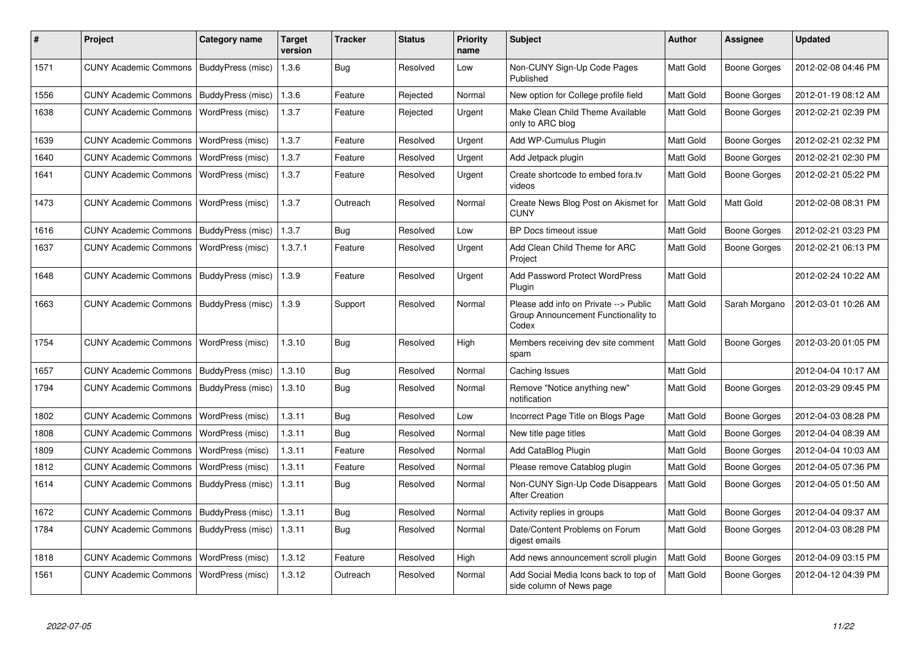| #    | <b>Project</b>                            | Category name            | <b>Target</b><br>version | Tracker    | <b>Status</b> | Priority<br>name | <b>Subject</b>                                                                        | <b>Author</b>    | Assignee            | <b>Updated</b>      |
|------|-------------------------------------------|--------------------------|--------------------------|------------|---------------|------------------|---------------------------------------------------------------------------------------|------------------|---------------------|---------------------|
| 1571 | CUNY Academic Commons   BuddyPress (misc) |                          | 1.3.6                    | Bug        | Resolved      | Low              | Non-CUNY Sign-Up Code Pages<br>Published                                              | Matt Gold        | Boone Gorges        | 2012-02-08 04:46 PM |
| 1556 | CUNY Academic Commons   BuddyPress (misc) |                          | 1.3.6                    | Feature    | Rejected      | Normal           | New option for College profile field                                                  | Matt Gold        | Boone Gorges        | 2012-01-19 08:12 AM |
| 1638 | <b>CUNY Academic Commons</b>              | WordPress (misc)         | 1.3.7                    | Feature    | Rejected      | Urgent           | Make Clean Child Theme Available<br>only to ARC blog                                  | <b>Matt Gold</b> | Boone Gorges        | 2012-02-21 02:39 PM |
| 1639 | <b>CUNY Academic Commons</b>              | WordPress (misc)         | 1.3.7                    | Feature    | Resolved      | Urgent           | Add WP-Cumulus Plugin                                                                 | <b>Matt Gold</b> | Boone Gorges        | 2012-02-21 02:32 PM |
| 1640 | <b>CUNY Academic Commons</b>              | WordPress (misc)         | 1.3.7                    | Feature    | Resolved      | Urgent           | Add Jetpack plugin                                                                    | Matt Gold        | Boone Gorges        | 2012-02-21 02:30 PM |
| 1641 | <b>CUNY Academic Commons</b>              | WordPress (misc)         | 1.3.7                    | Feature    | Resolved      | Urgent           | Create shortcode to embed fora.tv<br>videos                                           | <b>Matt Gold</b> | Boone Gorges        | 2012-02-21 05:22 PM |
| 1473 | <b>CUNY Academic Commons</b>              | WordPress (misc)         | 1.3.7                    | Outreach   | Resolved      | Normal           | Create News Blog Post on Akismet for<br><b>CUNY</b>                                   | Matt Gold        | Matt Gold           | 2012-02-08 08:31 PM |
| 1616 | CUNY Academic Commons   BuddyPress (misc) |                          | 1.3.7                    | <b>Bug</b> | Resolved      | Low              | BP Docs timeout issue                                                                 | Matt Gold        | Boone Gorges        | 2012-02-21 03:23 PM |
| 1637 | <b>CUNY Academic Commons</b>              | WordPress (misc)         | 1.3.7.1                  | Feature    | Resolved      | Urgent           | Add Clean Child Theme for ARC<br>Project                                              | <b>Matt Gold</b> | Boone Gorges        | 2012-02-21 06:13 PM |
| 1648 | CUNY Academic Commons   BuddyPress (misc) |                          | 1.3.9                    | Feature    | Resolved      | Urgent           | <b>Add Password Protect WordPress</b><br>Plugin                                       | Matt Gold        |                     | 2012-02-24 10:22 AM |
| 1663 | <b>CUNY Academic Commons</b>              | BuddyPress (misc)        | 1.3.9                    | Support    | Resolved      | Normal           | Please add info on Private --> Public<br>Group Announcement Functionality to<br>Codex | <b>Matt Gold</b> | Sarah Morgano       | 2012-03-01 10:26 AM |
| 1754 | CUNY Academic Commons   WordPress (misc)  |                          | 1.3.10                   | Bug        | Resolved      | High             | Members receiving dev site comment<br>spam                                            | <b>Matt Gold</b> | <b>Boone Gorges</b> | 2012-03-20 01:05 PM |
| 1657 | <b>CUNY Academic Commons</b>              | <b>BuddyPress (misc)</b> | 1.3.10                   | Bug        | Resolved      | Normal           | Caching Issues                                                                        | Matt Gold        |                     | 2012-04-04 10:17 AM |
| 1794 | CUNY Academic Commons   BuddyPress (misc) |                          | 1.3.10                   | <b>Bug</b> | Resolved      | Normal           | Remove "Notice anything new"<br>notification                                          | Matt Gold        | Boone Gorges        | 2012-03-29 09:45 PM |
| 1802 | <b>CUNY Academic Commons</b>              | WordPress (misc)         | 1.3.11                   | Bug        | Resolved      | Low              | Incorrect Page Title on Blogs Page                                                    | <b>Matt Gold</b> | <b>Boone Gorges</b> | 2012-04-03 08:28 PM |
| 1808 | <b>CUNY Academic Commons</b>              | WordPress (misc)         | 1.3.11                   | Bug        | Resolved      | Normal           | New title page titles                                                                 | <b>Matt Gold</b> | Boone Gorges        | 2012-04-04 08:39 AM |
| 1809 | <b>CUNY Academic Commons</b>              | WordPress (misc)         | 1.3.11                   | Feature    | Resolved      | Normal           | Add CataBlog Plugin                                                                   | <b>Matt Gold</b> | Boone Gorges        | 2012-04-04 10:03 AM |
| 1812 | <b>CUNY Academic Commons</b>              | WordPress (misc)         | 1.3.11                   | Feature    | Resolved      | Normal           | Please remove Catablog plugin                                                         | Matt Gold        | Boone Gorges        | 2012-04-05 07:36 PM |
| 1614 | <b>CUNY Academic Commons</b>              | BuddyPress (misc)        | 1.3.11                   | Bug        | Resolved      | Normal           | Non-CUNY Sign-Up Code Disappears<br><b>After Creation</b>                             | <b>Matt Gold</b> | Boone Gorges        | 2012-04-05 01:50 AM |
| 1672 | <b>CUNY Academic Commons</b>              | BuddyPress (misc)        | 1.3.11                   | Bug        | Resolved      | Normal           | Activity replies in groups                                                            | <b>Matt Gold</b> | Boone Gorges        | 2012-04-04 09:37 AM |
| 1784 | <b>CUNY Academic Commons</b>              | BuddyPress (misc)        | 1.3.11                   | Bug        | Resolved      | Normal           | Date/Content Problems on Forum<br>digest emails                                       | Matt Gold        | Boone Gorges        | 2012-04-03 08:28 PM |
| 1818 | <b>CUNY Academic Commons</b>              | WordPress (misc)         | 1.3.12                   | Feature    | Resolved      | High             | Add news announcement scroll plugin                                                   | <b>Matt Gold</b> | Boone Gorges        | 2012-04-09 03:15 PM |
| 1561 | <b>CUNY Academic Commons</b>              | WordPress (misc)         | 1.3.12                   | Outreach   | Resolved      | Normal           | Add Social Media Icons back to top of<br>side column of News page                     | <b>Matt Gold</b> | Boone Gorges        | 2012-04-12 04:39 PM |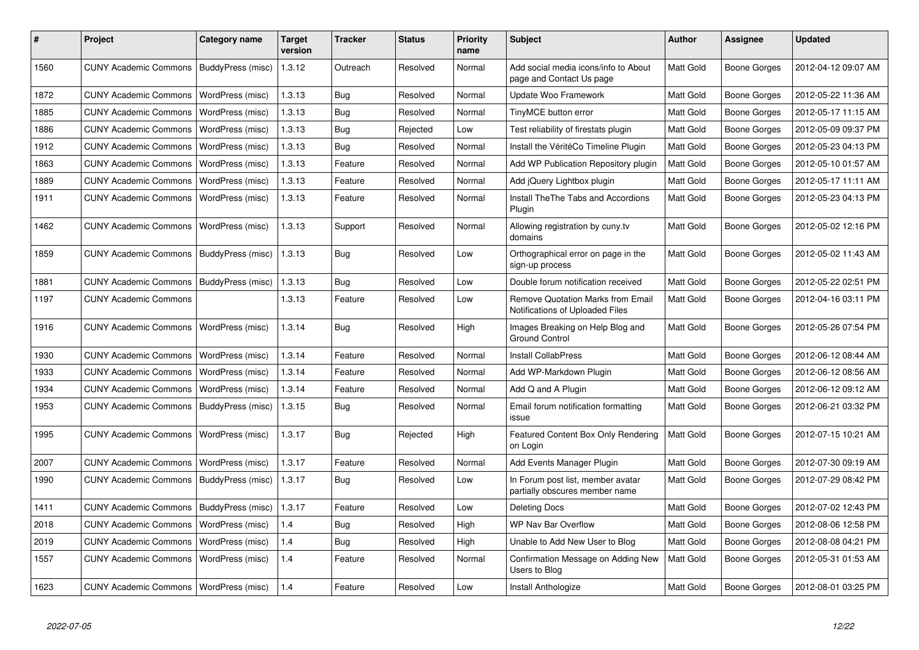| #    | <b>Project</b>                           | Category name     | <b>Target</b><br>version | Tracker    | <b>Status</b> | <b>Priority</b><br>name | <b>Subject</b>                                                       | Author           | Assignee            | <b>Updated</b>      |
|------|------------------------------------------|-------------------|--------------------------|------------|---------------|-------------------------|----------------------------------------------------------------------|------------------|---------------------|---------------------|
| 1560 | <b>CUNY Academic Commons</b>             | BuddyPress (misc) | 1.3.12                   | Outreach   | Resolved      | Normal                  | Add social media icons/info to About<br>page and Contact Us page     | Matt Gold        | Boone Gorges        | 2012-04-12 09:07 AM |
| 1872 | <b>CUNY Academic Commons</b>             | WordPress (misc)  | 1.3.13                   | <b>Bug</b> | Resolved      | Normal                  | Update Woo Framework                                                 | Matt Gold        | Boone Gorges        | 2012-05-22 11:36 AM |
| 1885 | <b>CUNY Academic Commons</b>             | WordPress (misc)  | 1.3.13                   | Bug        | Resolved      | Normal                  | TinyMCE button error                                                 | Matt Gold        | Boone Gorges        | 2012-05-17 11:15 AM |
| 1886 | <b>CUNY Academic Commons</b>             | WordPress (misc)  | 1.3.13                   | Bug        | Rejected      | Low                     | Test reliability of firestats plugin                                 | Matt Gold        | Boone Gorges        | 2012-05-09 09:37 PM |
| 1912 | <b>CUNY Academic Commons</b>             | WordPress (misc)  | 1.3.13                   | Bug        | Resolved      | Normal                  | Install the VéritéCo Timeline Plugin                                 | Matt Gold        | Boone Gorges        | 2012-05-23 04:13 PM |
| 1863 | <b>CUNY Academic Commons</b>             | WordPress (misc)  | 1.3.13                   | Feature    | Resolved      | Normal                  | Add WP Publication Repository plugin                                 | Matt Gold        | Boone Gorges        | 2012-05-10 01:57 AM |
| 1889 | <b>CUNY Academic Commons</b>             | WordPress (misc)  | 1.3.13                   | Feature    | Resolved      | Normal                  | Add jQuery Lightbox plugin                                           | Matt Gold        | Boone Gorges        | 2012-05-17 11:11 AM |
| 1911 | <b>CUNY Academic Commons</b>             | WordPress (misc)  | 1.3.13                   | Feature    | Resolved      | Normal                  | <b>Install TheThe Tabs and Accordions</b><br>Plugin                  | Matt Gold        | Boone Gorges        | 2012-05-23 04:13 PM |
| 1462 | <b>CUNY Academic Commons</b>             | WordPress (misc)  | 1.3.13                   | Support    | Resolved      | Normal                  | Allowing registration by cuny.tv<br>domains                          | Matt Gold        | Boone Gorges        | 2012-05-02 12:16 PM |
| 1859 | CUNY Academic Commons                    | BuddyPress (misc) | 1.3.13                   | Bug        | Resolved      | Low                     | Orthographical error on page in the<br>sign-up process               | Matt Gold        | Boone Gorges        | 2012-05-02 11:43 AM |
| 1881 | <b>CUNY Academic Commons</b>             | BuddyPress (misc) | 1.3.13                   | Bug        | Resolved      | Low                     | Double forum notification received                                   | Matt Gold        | Boone Gorges        | 2012-05-22 02:51 PM |
| 1197 | <b>CUNY Academic Commons</b>             |                   | 1.3.13                   | Feature    | Resolved      | Low                     | Remove Quotation Marks from Email<br>Notifications of Uploaded Files | Matt Gold        | Boone Gorges        | 2012-04-16 03:11 PM |
| 1916 | <b>CUNY Academic Commons</b>             | WordPress (misc)  | 1.3.14                   | <b>Bug</b> | Resolved      | High                    | Images Breaking on Help Blog and<br><b>Ground Control</b>            | Matt Gold        | <b>Boone Gorges</b> | 2012-05-26 07:54 PM |
| 1930 | <b>CUNY Academic Commons</b>             | WordPress (misc)  | 1.3.14                   | Feature    | Resolved      | Normal                  | <b>Install CollabPress</b>                                           | Matt Gold        | Boone Gorges        | 2012-06-12 08:44 AM |
| 1933 | <b>CUNY Academic Commons</b>             | WordPress (misc)  | 1.3.14                   | Feature    | Resolved      | Normal                  | Add WP-Markdown Plugin                                               | Matt Gold        | Boone Gorges        | 2012-06-12 08:56 AM |
| 1934 | <b>CUNY Academic Commons</b>             | WordPress (misc)  | 1.3.14                   | Feature    | Resolved      | Normal                  | Add Q and A Plugin                                                   | Matt Gold        | Boone Gorges        | 2012-06-12 09:12 AM |
| 1953 | <b>CUNY Academic Commons</b>             | BuddyPress (misc) | 1.3.15                   | <b>Bug</b> | Resolved      | Normal                  | Email forum notification formatting<br>issue                         | Matt Gold        | Boone Gorges        | 2012-06-21 03:32 PM |
| 1995 | <b>CUNY Academic Commons</b>             | WordPress (misc)  | 1.3.17                   | Bug        | Rejected      | High                    | Featured Content Box Only Rendering<br>on Login                      | Matt Gold        | Boone Gorges        | 2012-07-15 10:21 AM |
| 2007 | <b>CUNY Academic Commons</b>             | WordPress (misc)  | 1.3.17                   | Feature    | Resolved      | Normal                  | Add Events Manager Plugin                                            | Matt Gold        | Boone Gorges        | 2012-07-30 09:19 AM |
| 1990 | <b>CUNY Academic Commons</b>             | BuddyPress (misc) | 1.3.17                   | <b>Bug</b> | Resolved      | Low                     | In Forum post list, member avatar<br>partially obscures member name  | Matt Gold        | <b>Boone Gorges</b> | 2012-07-29 08:42 PM |
| 1411 | <b>CUNY Academic Commons</b>             | BuddyPress (misc) | 1.3.17                   | Feature    | Resolved      | Low                     | <b>Deleting Docs</b>                                                 | Matt Gold        | Boone Gorges        | 2012-07-02 12:43 PM |
| 2018 | <b>CUNY Academic Commons</b>             | WordPress (misc)  | 1.4                      | Bug        | Resolved      | High                    | <b>WP Nav Bar Overflow</b>                                           | Matt Gold        | Boone Gorges        | 2012-08-06 12:58 PM |
| 2019 | <b>CUNY Academic Commons</b>             | WordPress (misc)  | 1.4                      | <b>Bug</b> | Resolved      | High                    | Unable to Add New User to Blog                                       | <b>Matt Gold</b> | Boone Gorges        | 2012-08-08 04:21 PM |
| 1557 | <b>CUNY Academic Commons</b>             | WordPress (misc)  | 1.4                      | Feature    | Resolved      | Normal                  | Confirmation Message on Adding New<br>Users to Blog                  | Matt Gold        | Boone Gorges        | 2012-05-31 01:53 AM |
| 1623 | CUNY Academic Commons   WordPress (misc) |                   | 1.4                      | Feature    | Resolved      | Low                     | Install Anthologize                                                  | <b>Matt Gold</b> | <b>Boone Gorges</b> | 2012-08-01 03:25 PM |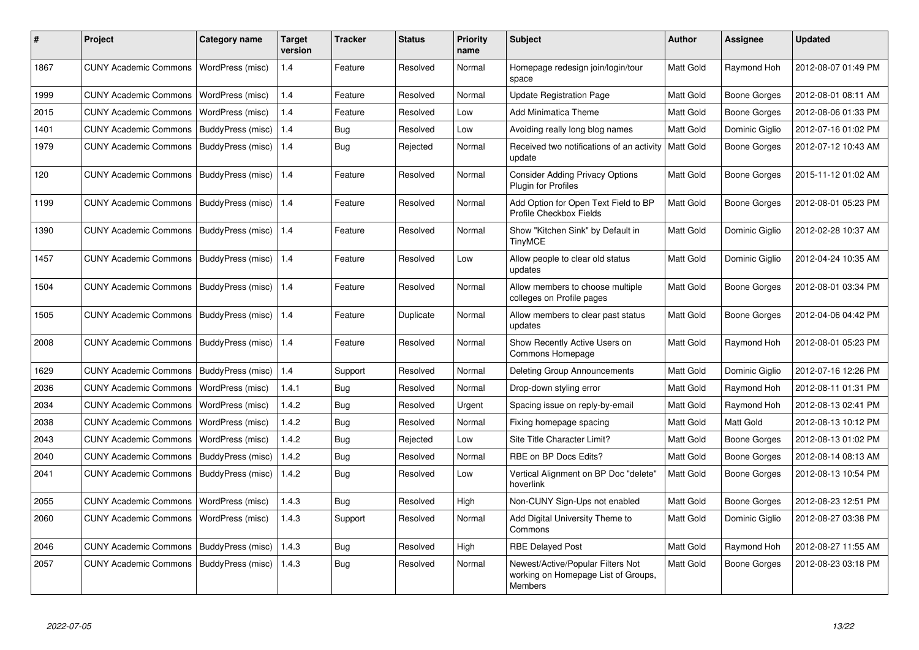| #    | <b>Project</b>               | Category name     | <b>Target</b><br>version | <b>Tracker</b> | <b>Status</b> | <b>Priority</b><br>name | <b>Subject</b>                                                                      | Author           | Assignee            | <b>Updated</b>      |
|------|------------------------------|-------------------|--------------------------|----------------|---------------|-------------------------|-------------------------------------------------------------------------------------|------------------|---------------------|---------------------|
| 1867 | <b>CUNY Academic Commons</b> | WordPress (misc)  | 1.4                      | Feature        | Resolved      | Normal                  | Homepage redesign join/login/tour<br>space                                          | Matt Gold        | Raymond Hoh         | 2012-08-07 01:49 PM |
| 1999 | <b>CUNY Academic Commons</b> | WordPress (misc)  | 1.4                      | Feature        | Resolved      | Normal                  | <b>Update Registration Page</b>                                                     | Matt Gold        | Boone Gorges        | 2012-08-01 08:11 AM |
| 2015 | <b>CUNY Academic Commons</b> | WordPress (misc)  | 1.4                      | Feature        | Resolved      | Low                     | Add Minimatica Theme                                                                | Matt Gold        | <b>Boone Gorges</b> | 2012-08-06 01:33 PM |
| 1401 | <b>CUNY Academic Commons</b> | BuddyPress (misc) | 1.4                      | Bug            | Resolved      | Low                     | Avoiding really long blog names                                                     | Matt Gold        | Dominic Giglio      | 2012-07-16 01:02 PM |
| 1979 | <b>CUNY Academic Commons</b> | BuddyPress (misc) | 1.4                      | Bug            | Rejected      | Normal                  | Received two notifications of an activity<br>update                                 | Matt Gold        | Boone Gorges        | 2012-07-12 10:43 AM |
| 120  | <b>CUNY Academic Commons</b> | BuddyPress (misc) | 1.4                      | Feature        | Resolved      | Normal                  | <b>Consider Adding Privacy Options</b><br><b>Plugin for Profiles</b>                | Matt Gold        | Boone Gorges        | 2015-11-12 01:02 AM |
| 1199 | <b>CUNY Academic Commons</b> | BuddyPress (misc) | 1.4                      | Feature        | Resolved      | Normal                  | Add Option for Open Text Field to BP<br>Profile Checkbox Fields                     | Matt Gold        | Boone Gorges        | 2012-08-01 05:23 PM |
| 1390 | <b>CUNY Academic Commons</b> | BuddyPress (misc) | 1.4                      | Feature        | Resolved      | Normal                  | Show "Kitchen Sink" by Default in<br><b>TinyMCE</b>                                 | Matt Gold        | Dominic Giglio      | 2012-02-28 10:37 AM |
| 1457 | <b>CUNY Academic Commons</b> | BuddyPress (misc) | 1.4                      | Feature        | Resolved      | Low                     | Allow people to clear old status<br>updates                                         | Matt Gold        | Dominic Giglio      | 2012-04-24 10:35 AM |
| 1504 | <b>CUNY Academic Commons</b> | BuddyPress (misc) | 1.4                      | Feature        | Resolved      | Normal                  | Allow members to choose multiple<br>colleges on Profile pages                       | Matt Gold        | Boone Gorges        | 2012-08-01 03:34 PM |
| 1505 | <b>CUNY Academic Commons</b> | BuddyPress (misc) | 1.4                      | Feature        | Duplicate     | Normal                  | Allow members to clear past status<br>updates                                       | <b>Matt Gold</b> | Boone Gorges        | 2012-04-06 04:42 PM |
| 2008 | <b>CUNY Academic Commons</b> | BuddyPress (misc) | 1.4                      | Feature        | Resolved      | Normal                  | Show Recently Active Users on<br>Commons Homepage                                   | Matt Gold        | Raymond Hoh         | 2012-08-01 05:23 PM |
| 1629 | <b>CUNY Academic Commons</b> | BuddyPress (misc) | 1.4                      | Support        | Resolved      | Normal                  | Deleting Group Announcements                                                        | Matt Gold        | Dominic Giglio      | 2012-07-16 12:26 PM |
| 2036 | <b>CUNY Academic Commons</b> | WordPress (misc)  | 1.4.1                    | Bug            | Resolved      | Normal                  | Drop-down styling error                                                             | Matt Gold        | Raymond Hoh         | 2012-08-11 01:31 PM |
| 2034 | <b>CUNY Academic Commons</b> | WordPress (misc)  | 1.4.2                    | Bug            | Resolved      | Urgent                  | Spacing issue on reply-by-email                                                     | Matt Gold        | Raymond Hoh         | 2012-08-13 02:41 PM |
| 2038 | <b>CUNY Academic Commons</b> | WordPress (misc)  | 1.4.2                    | Bug            | Resolved      | Normal                  | Fixing homepage spacing                                                             | Matt Gold        | Matt Gold           | 2012-08-13 10:12 PM |
| 2043 | <b>CUNY Academic Commons</b> | WordPress (misc)  | 1.4.2                    | Bug            | Rejected      | Low                     | Site Title Character Limit?                                                         | Matt Gold        | Boone Gorges        | 2012-08-13 01:02 PM |
| 2040 | <b>CUNY Academic Commons</b> | BuddyPress (misc) | 1.4.2                    | Bug            | Resolved      | Normal                  | RBE on BP Docs Edits?                                                               | Matt Gold        | Boone Gorges        | 2012-08-14 08:13 AM |
| 2041 | <b>CUNY Academic Commons</b> | BuddyPress (misc) | 1.4.2                    | Bug            | Resolved      | Low                     | Vertical Alignment on BP Doc "delete"<br>hoverlink                                  | Matt Gold        | Boone Gorges        | 2012-08-13 10:54 PM |
| 2055 | <b>CUNY Academic Commons</b> | WordPress (misc)  | 1.4.3                    | Bug            | Resolved      | High                    | Non-CUNY Sign-Ups not enabled                                                       | Matt Gold        | Boone Gorges        | 2012-08-23 12:51 PM |
| 2060 | <b>CUNY Academic Commons</b> | WordPress (misc)  | 1.4.3                    | Support        | Resolved      | Normal                  | Add Digital University Theme to<br>Commons                                          | <b>Matt Gold</b> | Dominic Giglio      | 2012-08-27 03:38 PM |
| 2046 | <b>CUNY Academic Commons</b> | BuddyPress (misc) | 1.4.3                    | Bug            | Resolved      | High                    | <b>RBE Delayed Post</b>                                                             | Matt Gold        | Raymond Hoh         | 2012-08-27 11:55 AM |
| 2057 | <b>CUNY Academic Commons</b> | BuddyPress (misc) | 1.4.3                    | Bug            | Resolved      | Normal                  | Newest/Active/Popular Filters Not<br>working on Homepage List of Groups,<br>Members | Matt Gold        | Boone Gorges        | 2012-08-23 03:18 PM |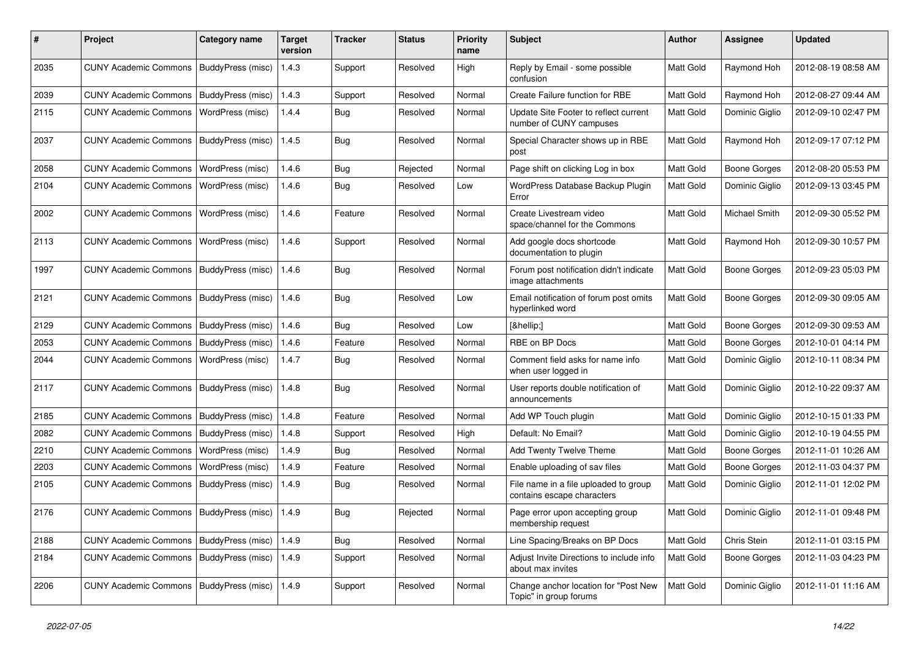| #    | Project                                           | <b>Category name</b> | <b>Target</b><br>version | <b>Tracker</b> | <b>Status</b> | <b>Priority</b><br>name | <b>Subject</b>                                                      | <b>Author</b>    | <b>Assignee</b>     | <b>Updated</b>      |
|------|---------------------------------------------------|----------------------|--------------------------|----------------|---------------|-------------------------|---------------------------------------------------------------------|------------------|---------------------|---------------------|
| 2035 | <b>CUNY Academic Commons</b>                      | BuddyPress (misc)    | 1.4.3                    | Support        | Resolved      | High                    | Reply by Email - some possible<br>confusion                         | Matt Gold        | Raymond Hoh         | 2012-08-19 08:58 AM |
| 2039 | <b>CUNY Academic Commons</b>                      | BuddyPress (misc)    | 1.4.3                    | Support        | Resolved      | Normal                  | Create Failure function for RBE                                     | Matt Gold        | Raymond Hoh         | 2012-08-27 09:44 AM |
| 2115 | <b>CUNY Academic Commons</b>                      | WordPress (misc)     | 1.4.4                    | Bug            | Resolved      | Normal                  | Update Site Footer to reflect current<br>number of CUNY campuses    | Matt Gold        | Dominic Giglio      | 2012-09-10 02:47 PM |
| 2037 | <b>CUNY Academic Commons</b>                      | BuddyPress (misc)    | 1.4.5                    | Bug            | Resolved      | Normal                  | Special Character shows up in RBE<br>post                           | Matt Gold        | Raymond Hoh         | 2012-09-17 07:12 PM |
| 2058 | <b>CUNY Academic Commons</b>                      | WordPress (misc)     | 1.4.6                    | Bug            | Rejected      | Normal                  | Page shift on clicking Log in box                                   | Matt Gold        | <b>Boone Gorges</b> | 2012-08-20 05:53 PM |
| 2104 | <b>CUNY Academic Commons</b>                      | WordPress (misc)     | 1.4.6                    | Bug            | Resolved      | Low                     | WordPress Database Backup Plugin<br>Error                           | Matt Gold        | Dominic Giglio      | 2012-09-13 03:45 PM |
| 2002 | <b>CUNY Academic Commons</b>                      | WordPress (misc)     | 1.4.6                    | Feature        | Resolved      | Normal                  | Create Livestream video<br>space/channel for the Commons            | Matt Gold        | Michael Smith       | 2012-09-30 05:52 PM |
| 2113 | <b>CUNY Academic Commons</b>                      | WordPress (misc)     | 1.4.6                    | Support        | Resolved      | Normal                  | Add google docs shortcode<br>documentation to plugin                | Matt Gold        | Raymond Hoh         | 2012-09-30 10:57 PM |
| 1997 | <b>CUNY Academic Commons</b>                      | BuddyPress (misc)    | 1.4.6                    | <b>Bug</b>     | Resolved      | Normal                  | Forum post notification didn't indicate<br>image attachments        | Matt Gold        | <b>Boone Gorges</b> | 2012-09-23 05:03 PM |
| 2121 | <b>CUNY Academic Commons</b>                      | BuddyPress (misc)    | 1.4.6                    | Bug            | Resolved      | Low                     | Email notification of forum post omits<br>hyperlinked word          | <b>Matt Gold</b> | <b>Boone Gorges</b> | 2012-09-30 09:05 AM |
| 2129 | <b>CUNY Academic Commons</b>                      | BuddyPress (misc)    | 1.4.6                    | Bug            | Resolved      | Low                     | […]                                                                 | Matt Gold        | <b>Boone Gorges</b> | 2012-09-30 09:53 AM |
| 2053 | <b>CUNY Academic Commons</b>                      | BuddyPress (misc)    | 1.4.6                    | Feature        | Resolved      | Normal                  | RBE on BP Docs                                                      | Matt Gold        | <b>Boone Gorges</b> | 2012-10-01 04:14 PM |
| 2044 | <b>CUNY Academic Commons</b>                      | WordPress (misc)     | 1.4.7                    | Bug            | Resolved      | Normal                  | Comment field asks for name info<br>when user logged in             | Matt Gold        | Dominic Giglio      | 2012-10-11 08:34 PM |
| 2117 | <b>CUNY Academic Commons</b>                      | BuddyPress (misc)    | 1.4.8                    | Bug            | Resolved      | Normal                  | User reports double notification of<br>announcements                | Matt Gold        | Dominic Giglio      | 2012-10-22 09:37 AM |
| 2185 | <b>CUNY Academic Commons</b>                      | BuddyPress (misc)    | 1.4.8                    | Feature        | Resolved      | Normal                  | Add WP Touch plugin                                                 | Matt Gold        | Dominic Giglio      | 2012-10-15 01:33 PM |
| 2082 | <b>CUNY Academic Commons</b>                      | BuddyPress (misc)    | 1.4.8                    | Support        | Resolved      | High                    | Default: No Email?                                                  | Matt Gold        | Dominic Giglio      | 2012-10-19 04:55 PM |
| 2210 | <b>CUNY Academic Commons</b>                      | WordPress (misc)     | 1.4.9                    | <b>Bug</b>     | Resolved      | Normal                  | Add Twenty Twelve Theme                                             | Matt Gold        | <b>Boone Gorges</b> | 2012-11-01 10:26 AM |
| 2203 | <b>CUNY Academic Commons</b>                      | WordPress (misc)     | 1.4.9                    | Feature        | Resolved      | Normal                  | Enable uploading of sav files                                       | Matt Gold        | <b>Boone Gorges</b> | 2012-11-03 04:37 PM |
| 2105 | <b>CUNY Academic Commons</b>                      | BuddyPress (misc)    | 1.4.9                    | Bug            | Resolved      | Normal                  | File name in a file uploaded to group<br>contains escape characters | Matt Gold        | Dominic Giglio      | 2012-11-01 12:02 PM |
| 2176 | CUNY Academic Commons   BuddyPress (misc)         |                      | 1.4.9                    | Bug            | Rejected      | Normal                  | Page error upon accepting group<br>membership request               | Matt Gold        | Dominic Giglio      | 2012-11-01 09:48 PM |
| 2188 | <b>CUNY Academic Commons</b>                      | BuddyPress (misc)    | 1.4.9                    | Bug            | Resolved      | Normal                  | Line Spacing/Breaks on BP Docs                                      | Matt Gold        | Chris Stein         | 2012-11-01 03:15 PM |
| 2184 | <b>CUNY Academic Commons</b>                      | BuddyPress (misc)    | 1.4.9                    | Support        | Resolved      | Normal                  | Adjust Invite Directions to include info<br>about max invites       | Matt Gold        | <b>Boone Gorges</b> | 2012-11-03 04:23 PM |
| 2206 | CUNY Academic Commons   BuddyPress (misc)   1.4.9 |                      |                          | Support        | Resolved      | Normal                  | Change anchor location for "Post New<br>Topic" in group forums      | Matt Gold        | Dominic Giglio      | 2012-11-01 11:16 AM |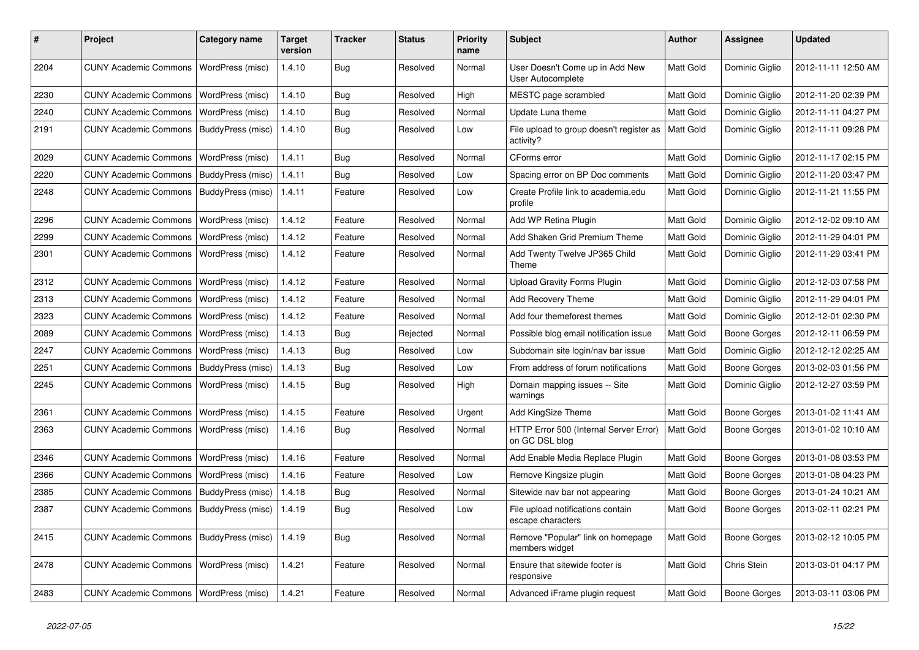| #    | Project                                   | <b>Category name</b>     | <b>Target</b><br>version | <b>Tracker</b> | <b>Status</b> | <b>Priority</b><br>name | <b>Subject</b>                                           | Author    | Assignee            | <b>Updated</b>      |
|------|-------------------------------------------|--------------------------|--------------------------|----------------|---------------|-------------------------|----------------------------------------------------------|-----------|---------------------|---------------------|
| 2204 | <b>CUNY Academic Commons</b>              | WordPress (misc)         | 1.4.10                   | <b>Bug</b>     | Resolved      | Normal                  | User Doesn't Come up in Add New<br>User Autocomplete     | Matt Gold | Dominic Giglio      | 2012-11-11 12:50 AM |
| 2230 | <b>CUNY Academic Commons</b>              | WordPress (misc)         | 1.4.10                   | Bug            | Resolved      | High                    | MESTC page scrambled                                     | Matt Gold | Dominic Giglio      | 2012-11-20 02:39 PM |
| 2240 | <b>CUNY Academic Commons</b>              | WordPress (misc)         | 1.4.10                   | <b>Bug</b>     | Resolved      | Normal                  | Update Luna theme                                        | Matt Gold | Dominic Giglio      | 2012-11-11 04:27 PM |
| 2191 | <b>CUNY Academic Commons</b>              | BuddyPress (misc)        | 1.4.10                   | Bug            | Resolved      | Low                     | File upload to group doesn't register as<br>activity?    | Matt Gold | Dominic Giglio      | 2012-11-11 09:28 PM |
| 2029 | <b>CUNY Academic Commons</b>              | WordPress (misc)         | 1.4.11                   | <b>Bug</b>     | Resolved      | Normal                  | CForms error                                             | Matt Gold | Dominic Giglio      | 2012-11-17 02:15 PM |
| 2220 | <b>CUNY Academic Commons</b>              | BuddyPress (misc)        | 1.4.11                   | Bug            | Resolved      | Low                     | Spacing error on BP Doc comments                         | Matt Gold | Dominic Giglio      | 2012-11-20 03:47 PM |
| 2248 | <b>CUNY Academic Commons</b>              | BuddyPress (misc)        | 1.4.11                   | Feature        | Resolved      | Low                     | Create Profile link to academia.edu<br>profile           | Matt Gold | Dominic Giglio      | 2012-11-21 11:55 PM |
| 2296 | <b>CUNY Academic Commons</b>              | WordPress (misc)         | 1.4.12                   | Feature        | Resolved      | Normal                  | Add WP Retina Plugin                                     | Matt Gold | Dominic Giglio      | 2012-12-02 09:10 AM |
| 2299 | <b>CUNY Academic Commons</b>              | WordPress (misc)         | 1.4.12                   | Feature        | Resolved      | Normal                  | Add Shaken Grid Premium Theme                            | Matt Gold | Dominic Giglio      | 2012-11-29 04:01 PM |
| 2301 | <b>CUNY Academic Commons</b>              | WordPress (misc)         | 1.4.12                   | Feature        | Resolved      | Normal                  | Add Twenty Twelve JP365 Child<br>Theme                   | Matt Gold | Dominic Giglio      | 2012-11-29 03:41 PM |
| 2312 | <b>CUNY Academic Commons</b>              | WordPress (misc)         | 1.4.12                   | Feature        | Resolved      | Normal                  | <b>Upload Gravity Forms Plugin</b>                       | Matt Gold | Dominic Giglio      | 2012-12-03 07:58 PM |
| 2313 | <b>CUNY Academic Commons</b>              | WordPress (misc)         | 1.4.12                   | Feature        | Resolved      | Normal                  | Add Recovery Theme                                       | Matt Gold | Dominic Giglio      | 2012-11-29 04:01 PM |
| 2323 | <b>CUNY Academic Commons</b>              | WordPress (misc)         | 1.4.12                   | Feature        | Resolved      | Normal                  | Add four themeforest themes                              | Matt Gold | Dominic Giglio      | 2012-12-01 02:30 PM |
| 2089 | <b>CUNY Academic Commons</b>              | WordPress (misc)         | 1.4.13                   | Bug            | Rejected      | Normal                  | Possible blog email notification issue                   | Matt Gold | <b>Boone Gorges</b> | 2012-12-11 06:59 PM |
| 2247 | <b>CUNY Academic Commons</b>              | WordPress (misc)         | 1.4.13                   | Bug            | Resolved      | Low                     | Subdomain site login/nav bar issue                       | Matt Gold | Dominic Giglio      | 2012-12-12 02:25 AM |
| 2251 | <b>CUNY Academic Commons</b>              | BuddyPress (misc)        | 1.4.13                   | Bug            | Resolved      | Low                     | From address of forum notifications                      | Matt Gold | <b>Boone Gorges</b> | 2013-02-03 01:56 PM |
| 2245 | <b>CUNY Academic Commons</b>              | WordPress (misc)         | 1.4.15                   | Bug            | Resolved      | High                    | Domain mapping issues -- Site<br>warnings                | Matt Gold | Dominic Giglio      | 2012-12-27 03:59 PM |
| 2361 | <b>CUNY Academic Commons</b>              | WordPress (misc)         | 1.4.15                   | Feature        | Resolved      | Urgent                  | Add KingSize Theme                                       | Matt Gold | <b>Boone Gorges</b> | 2013-01-02 11:41 AM |
| 2363 | <b>CUNY Academic Commons</b>              | WordPress (misc)         | 1.4.16                   | Bug            | Resolved      | Normal                  | HTTP Error 500 (Internal Server Error)<br>on GC DSL blog | Matt Gold | <b>Boone Gorges</b> | 2013-01-02 10:10 AM |
| 2346 | <b>CUNY Academic Commons</b>              | WordPress (misc)         | 1.4.16                   | Feature        | Resolved      | Normal                  | Add Enable Media Replace Plugin                          | Matt Gold | <b>Boone Gorges</b> | 2013-01-08 03:53 PM |
| 2366 | <b>CUNY Academic Commons</b>              | WordPress (misc)         | 1.4.16                   | Feature        | Resolved      | Low                     | Remove Kingsize plugin                                   | Matt Gold | Boone Gorges        | 2013-01-08 04:23 PM |
| 2385 | <b>CUNY Academic Commons</b>              | <b>BuddyPress</b> (misc) | 1.4.18                   | Bug            | Resolved      | Normal                  | Sitewide nav bar not appearing                           | Matt Gold | <b>Boone Gorges</b> | 2013-01-24 10:21 AM |
| 2387 | <b>CUNY Academic Commons</b>              | BuddyPress (misc)        | 1.4.19                   | Bug            | Resolved      | Low                     | File upload notifications contain<br>escape characters   | Matt Gold | <b>Boone Gorges</b> | 2013-02-11 02:21 PM |
| 2415 | CUNY Academic Commons   BuddyPress (misc) |                          | 1.4.19                   | <b>Bug</b>     | Resolved      | Normal                  | Remove "Popular" link on homepage<br>members widget      | Matt Gold | <b>Boone Gorges</b> | 2013-02-12 10:05 PM |
| 2478 | <b>CUNY Academic Commons</b>              | WordPress (misc)         | 1.4.21                   | Feature        | Resolved      | Normal                  | Ensure that sitewide footer is<br>responsive             | Matt Gold | Chris Stein         | 2013-03-01 04:17 PM |
| 2483 | <b>CUNY Academic Commons</b>              | WordPress (misc)         | 1.4.21                   | Feature        | Resolved      | Normal                  | Advanced iFrame plugin request                           | Matt Gold | <b>Boone Gorges</b> | 2013-03-11 03:06 PM |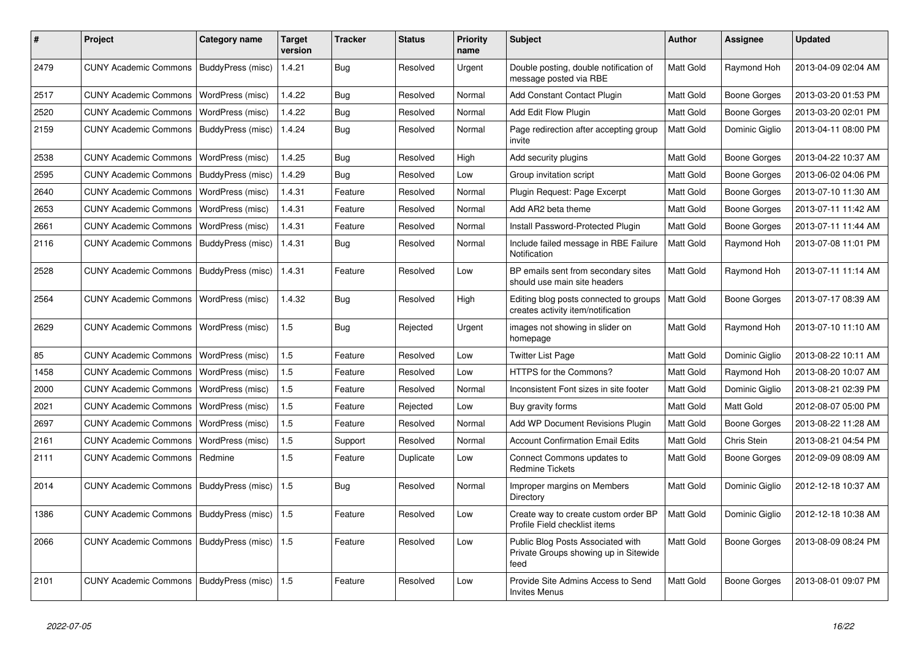| #    | Project                      | Category name     | <b>Target</b><br>version | <b>Tracker</b> | <b>Status</b> | Priority<br>name | <b>Subject</b>                                                                     | <b>Author</b> | <b>Assignee</b>     | <b>Updated</b>      |
|------|------------------------------|-------------------|--------------------------|----------------|---------------|------------------|------------------------------------------------------------------------------------|---------------|---------------------|---------------------|
| 2479 | <b>CUNY Academic Commons</b> | BuddyPress (misc) | 1.4.21                   | Bug            | Resolved      | Urgent           | Double posting, double notification of<br>message posted via RBE                   | Matt Gold     | Raymond Hoh         | 2013-04-09 02:04 AM |
| 2517 | <b>CUNY Academic Commons</b> | WordPress (misc)  | 1.4.22                   | <b>Bug</b>     | Resolved      | Normal           | <b>Add Constant Contact Plugin</b>                                                 | Matt Gold     | Boone Gorges        | 2013-03-20 01:53 PM |
| 2520 | <b>CUNY Academic Commons</b> | WordPress (misc)  | 1.4.22                   | <b>Bug</b>     | Resolved      | Normal           | Add Edit Flow Plugin                                                               | Matt Gold     | <b>Boone Gorges</b> | 2013-03-20 02:01 PM |
| 2159 | <b>CUNY Academic Commons</b> | BuddyPress (misc) | 1.4.24                   | Bug            | Resolved      | Normal           | Page redirection after accepting group<br>invite                                   | Matt Gold     | Dominic Giglio      | 2013-04-11 08:00 PM |
| 2538 | <b>CUNY Academic Commons</b> | WordPress (misc)  | 1.4.25                   | Bug            | Resolved      | High             | Add security plugins                                                               | Matt Gold     | Boone Gorges        | 2013-04-22 10:37 AM |
| 2595 | <b>CUNY Academic Commons</b> | BuddyPress (misc) | 1.4.29                   | <b>Bug</b>     | Resolved      | Low              | Group invitation script                                                            | Matt Gold     | Boone Gorges        | 2013-06-02 04:06 PM |
| 2640 | <b>CUNY Academic Commons</b> | WordPress (misc)  | 1.4.31                   | Feature        | Resolved      | Normal           | Plugin Request: Page Excerpt                                                       | Matt Gold     | Boone Gorges        | 2013-07-10 11:30 AM |
| 2653 | <b>CUNY Academic Commons</b> | WordPress (misc)  | 1.4.31                   | Feature        | Resolved      | Normal           | Add AR2 beta theme                                                                 | Matt Gold     | Boone Gorges        | 2013-07-11 11:42 AM |
| 2661 | <b>CUNY Academic Commons</b> | WordPress (misc)  | 1.4.31                   | Feature        | Resolved      | Normal           | Install Password-Protected Plugin                                                  | Matt Gold     | Boone Gorges        | 2013-07-11 11:44 AM |
| 2116 | <b>CUNY Academic Commons</b> | BuddyPress (misc) | 1.4.31                   | Bug            | Resolved      | Normal           | Include failed message in RBE Failure<br>Notification                              | Matt Gold     | Raymond Hoh         | 2013-07-08 11:01 PM |
| 2528 | <b>CUNY Academic Commons</b> | BuddyPress (misc) | 1.4.31                   | Feature        | Resolved      | Low              | BP emails sent from secondary sites<br>should use main site headers                | Matt Gold     | Raymond Hoh         | 2013-07-11 11:14 AM |
| 2564 | <b>CUNY Academic Commons</b> | WordPress (misc)  | 1.4.32                   | <b>Bug</b>     | Resolved      | High             | Editing blog posts connected to groups<br>creates activity item/notification       | Matt Gold     | Boone Gorges        | 2013-07-17 08:39 AM |
| 2629 | <b>CUNY Academic Commons</b> | WordPress (misc)  | 1.5                      | Bug            | Rejected      | Urgent           | images not showing in slider on<br>homepage                                        | Matt Gold     | Raymond Hoh         | 2013-07-10 11:10 AM |
| 85   | <b>CUNY Academic Commons</b> | WordPress (misc)  | 1.5                      | Feature        | Resolved      | Low              | <b>Twitter List Page</b>                                                           | Matt Gold     | Dominic Giglio      | 2013-08-22 10:11 AM |
| 1458 | <b>CUNY Academic Commons</b> | WordPress (misc)  | 1.5                      | Feature        | Resolved      | Low              | HTTPS for the Commons?                                                             | Matt Gold     | Raymond Hoh         | 2013-08-20 10:07 AM |
| 2000 | <b>CUNY Academic Commons</b> | WordPress (misc)  | 1.5                      | Feature        | Resolved      | Normal           | Inconsistent Font sizes in site footer                                             | Matt Gold     | Dominic Giglio      | 2013-08-21 02:39 PM |
| 2021 | <b>CUNY Academic Commons</b> | WordPress (misc)  | 1.5                      | Feature        | Rejected      | Low              | Buy gravity forms                                                                  | Matt Gold     | Matt Gold           | 2012-08-07 05:00 PM |
| 2697 | <b>CUNY Academic Commons</b> | WordPress (misc)  | 1.5                      | Feature        | Resolved      | Normal           | Add WP Document Revisions Plugin                                                   | Matt Gold     | Boone Gorges        | 2013-08-22 11:28 AM |
| 2161 | <b>CUNY Academic Commons</b> | WordPress (misc)  | 1.5                      | Support        | Resolved      | Normal           | <b>Account Confirmation Email Edits</b>                                            | Matt Gold     | Chris Stein         | 2013-08-21 04:54 PM |
| 2111 | <b>CUNY Academic Commons</b> | Redmine           | 1.5                      | Feature        | Duplicate     | Low              | Connect Commons updates to<br><b>Redmine Tickets</b>                               | Matt Gold     | Boone Gorges        | 2012-09-09 08:09 AM |
| 2014 | <b>CUNY Academic Commons</b> | BuddyPress (misc) | 1.5                      | <b>Bug</b>     | Resolved      | Normal           | Improper margins on Members<br>Directory                                           | Matt Gold     | Dominic Giglio      | 2012-12-18 10:37 AM |
| 1386 | <b>CUNY Academic Commons</b> | BuddyPress (misc) | 1.5                      | Feature        | Resolved      | Low              | Create way to create custom order BP<br>Profile Field checklist items              | Matt Gold     | Dominic Giglio      | 2012-12-18 10:38 AM |
| 2066 | <b>CUNY Academic Commons</b> | BuddyPress (misc) | 1.5                      | Feature        | Resolved      | Low              | Public Blog Posts Associated with<br>Private Groups showing up in Sitewide<br>feed | Matt Gold     | Boone Gorges        | 2013-08-09 08:24 PM |
| 2101 | <b>CUNY Academic Commons</b> | BuddyPress (misc) | 1.5                      | Feature        | Resolved      | Low              | Provide Site Admins Access to Send<br><b>Invites Menus</b>                         | Matt Gold     | <b>Boone Gorges</b> | 2013-08-01 09:07 PM |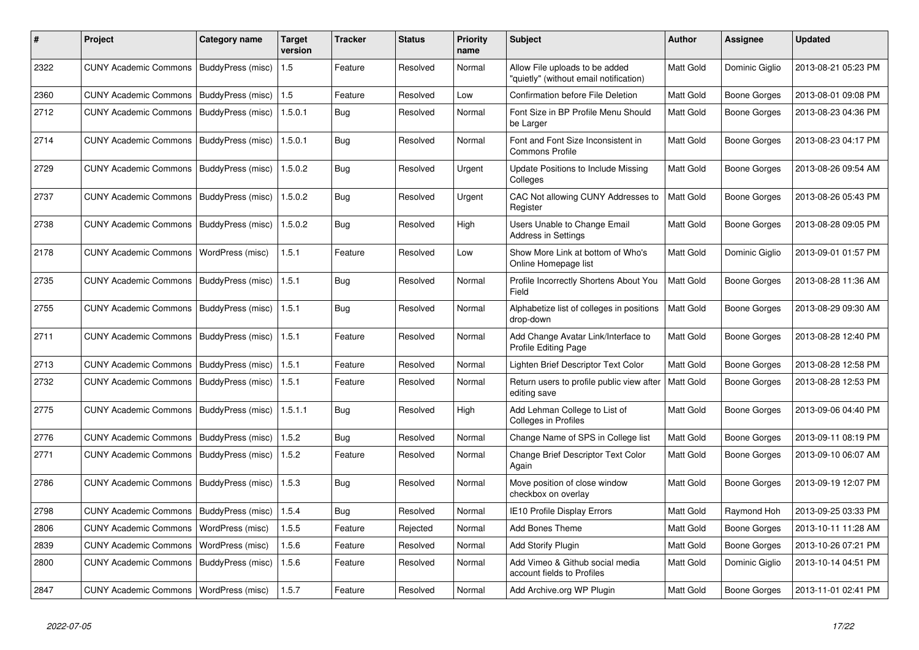| #    | Project                                  | Category name     | <b>Target</b><br>version | <b>Tracker</b> | <b>Status</b> | <b>Priority</b><br>name | <b>Subject</b>                                                           | Author           | <b>Assignee</b>     | <b>Updated</b>      |
|------|------------------------------------------|-------------------|--------------------------|----------------|---------------|-------------------------|--------------------------------------------------------------------------|------------------|---------------------|---------------------|
| 2322 | <b>CUNY Academic Commons</b>             | BuddyPress (misc) | 1.5                      | Feature        | Resolved      | Normal                  | Allow File uploads to be added<br>"quietly" (without email notification) | Matt Gold        | Dominic Giglio      | 2013-08-21 05:23 PM |
| 2360 | <b>CUNY Academic Commons</b>             | BuddyPress (misc) | 1.5                      | Feature        | Resolved      | Low                     | <b>Confirmation before File Deletion</b>                                 | Matt Gold        | <b>Boone Gorges</b> | 2013-08-01 09:08 PM |
| 2712 | <b>CUNY Academic Commons</b>             | BuddyPress (misc) | 1.5.0.1                  | Bug            | Resolved      | Normal                  | Font Size in BP Profile Menu Should<br>be Larger                         | <b>Matt Gold</b> | Boone Gorges        | 2013-08-23 04:36 PM |
| 2714 | <b>CUNY Academic Commons</b>             | BuddyPress (misc) | 1.5.0.1                  | Bug            | Resolved      | Normal                  | Font and Font Size Inconsistent in<br><b>Commons Profile</b>             | Matt Gold        | Boone Gorges        | 2013-08-23 04:17 PM |
| 2729 | <b>CUNY Academic Commons</b>             | BuddyPress (misc) | 1.5.0.2                  | Bug            | Resolved      | Urgent                  | Update Positions to Include Missing<br>Colleges                          | Matt Gold        | Boone Gorges        | 2013-08-26 09:54 AM |
| 2737 | <b>CUNY Academic Commons</b>             | BuddyPress (misc) | 1.5.0.2                  | <b>Bug</b>     | Resolved      | Urgent                  | CAC Not allowing CUNY Addresses to<br>Register                           | Matt Gold        | Boone Gorges        | 2013-08-26 05:43 PM |
| 2738 | <b>CUNY Academic Commons</b>             | BuddyPress (misc) | 1.5.0.2                  | <b>Bug</b>     | Resolved      | High                    | Users Unable to Change Email<br>Address in Settings                      | Matt Gold        | <b>Boone Gorges</b> | 2013-08-28 09:05 PM |
| 2178 | <b>CUNY Academic Commons</b>             | WordPress (misc)  | 1.5.1                    | Feature        | Resolved      | Low                     | Show More Link at bottom of Who's<br>Online Homepage list                | Matt Gold        | Dominic Giglio      | 2013-09-01 01:57 PM |
| 2735 | <b>CUNY Academic Commons</b>             | BuddyPress (misc) | 1.5.1                    | Bug            | Resolved      | Normal                  | Profile Incorrectly Shortens About You<br>Field                          | Matt Gold        | Boone Gorges        | 2013-08-28 11:36 AM |
| 2755 | <b>CUNY Academic Commons</b>             | BuddyPress (misc) | 1.5.1                    | Bug            | Resolved      | Normal                  | Alphabetize list of colleges in positions<br>drop-down                   | Matt Gold        | Boone Gorges        | 2013-08-29 09:30 AM |
| 2711 | <b>CUNY Academic Commons</b>             | BuddyPress (misc) | 1.5.1                    | Feature        | Resolved      | Normal                  | Add Change Avatar Link/Interface to<br><b>Profile Editing Page</b>       | Matt Gold        | Boone Gorges        | 2013-08-28 12:40 PM |
| 2713 | <b>CUNY Academic Commons</b>             | BuddyPress (misc) | 1.5.1                    | Feature        | Resolved      | Normal                  | Lighten Brief Descriptor Text Color                                      | Matt Gold        | Boone Gorges        | 2013-08-28 12:58 PM |
| 2732 | <b>CUNY Academic Commons</b>             | BuddyPress (misc) | 1.5.1                    | Feature        | Resolved      | Normal                  | Return users to profile public view after<br>editing save                | Matt Gold        | <b>Boone Gorges</b> | 2013-08-28 12:53 PM |
| 2775 | <b>CUNY Academic Commons</b>             | BuddyPress (misc) | 1.5.1.1                  | <b>Bug</b>     | Resolved      | High                    | Add Lehman College to List of<br>Colleges in Profiles                    | Matt Gold        | Boone Gorges        | 2013-09-06 04:40 PM |
| 2776 | <b>CUNY Academic Commons</b>             | BuddyPress (misc) | 1.5.2                    | <b>Bug</b>     | Resolved      | Normal                  | Change Name of SPS in College list                                       | Matt Gold        | Boone Gorges        | 2013-09-11 08:19 PM |
| 2771 | <b>CUNY Academic Commons</b>             | BuddyPress (misc) | 1.5.2                    | Feature        | Resolved      | Normal                  | Change Brief Descriptor Text Color<br>Again                              | Matt Gold        | Boone Gorges        | 2013-09-10 06:07 AM |
| 2786 | <b>CUNY Academic Commons</b>             | BuddyPress (misc) | 1.5.3                    | Bug            | Resolved      | Normal                  | Move position of close window<br>checkbox on overlay                     | Matt Gold        | Boone Gorges        | 2013-09-19 12:07 PM |
| 2798 | <b>CUNY Academic Commons</b>             | BuddyPress (misc) | 1.5.4                    | Bug            | Resolved      | Normal                  | IE10 Profile Display Errors                                              | Matt Gold        | Raymond Hoh         | 2013-09-25 03:33 PM |
| 2806 | <b>CUNY Academic Commons</b>             | WordPress (misc)  | 1.5.5                    | Feature        | Rejected      | Normal                  | <b>Add Bones Theme</b>                                                   | Matt Gold        | Boone Gorges        | 2013-10-11 11:28 AM |
| 2839 | <b>CUNY Academic Commons</b>             | WordPress (misc)  | 1.5.6                    | Feature        | Resolved      | Normal                  | Add Storify Plugin                                                       | Matt Gold        | Boone Gorges        | 2013-10-26 07:21 PM |
| 2800 | <b>CUNY Academic Commons</b>             | BuddyPress (misc) | 1.5.6                    | Feature        | Resolved      | Normal                  | Add Vimeo & Github social media<br>account fields to Profiles            | Matt Gold        | Dominic Giglio      | 2013-10-14 04:51 PM |
| 2847 | CUNY Academic Commons   WordPress (misc) |                   | 1.5.7                    | Feature        | Resolved      | Normal                  | Add Archive.org WP Plugin                                                | Matt Gold        | Boone Gorges        | 2013-11-01 02:41 PM |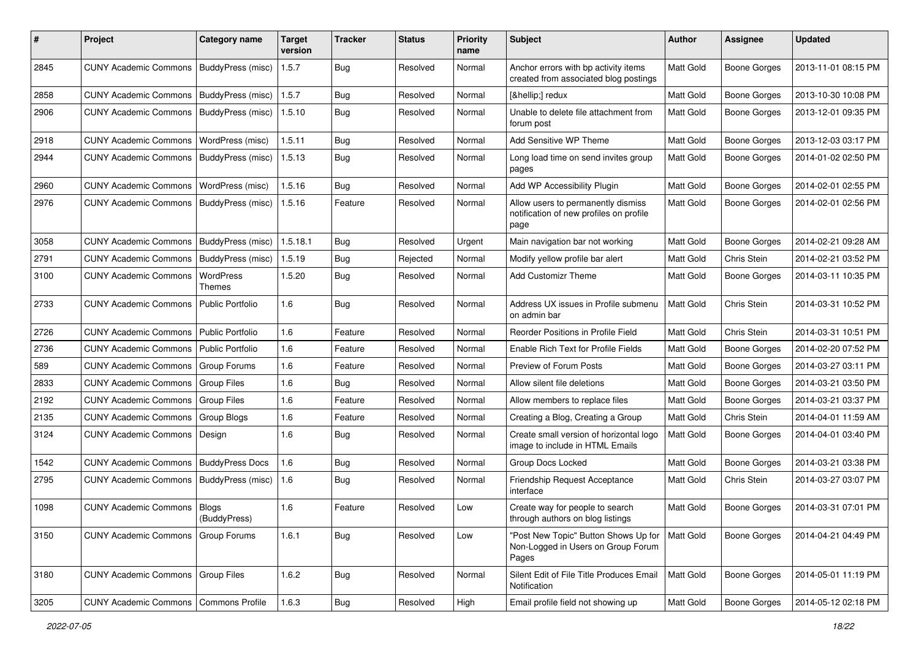| #    | Project                                   | <b>Category name</b>    | <b>Target</b><br>version | <b>Tracker</b> | <b>Status</b> | <b>Priority</b><br>name | Subject                                                                               | <b>Author</b> | <b>Assignee</b>     | <b>Updated</b>      |
|------|-------------------------------------------|-------------------------|--------------------------|----------------|---------------|-------------------------|---------------------------------------------------------------------------------------|---------------|---------------------|---------------------|
| 2845 | <b>CUNY Academic Commons</b>              | BuddyPress (misc)       | 1.5.7                    | <b>Bug</b>     | Resolved      | Normal                  | Anchor errors with bp activity items<br>created from associated blog postings         | Matt Gold     | <b>Boone Gorges</b> | 2013-11-01 08:15 PM |
| 2858 | <b>CUNY Academic Commons</b>              | BuddyPress (misc)       | 1.5.7                    | <b>Bug</b>     | Resolved      | Normal                  | […] redux                                                                             | Matt Gold     | <b>Boone Gorges</b> | 2013-10-30 10:08 PM |
| 2906 | <b>CUNY Academic Commons</b>              | BuddyPress (misc)       | 1.5.10                   | <b>Bug</b>     | Resolved      | Normal                  | Unable to delete file attachment from<br>forum post                                   | Matt Gold     | <b>Boone Gorges</b> | 2013-12-01 09:35 PM |
| 2918 | <b>CUNY Academic Commons</b>              | WordPress (misc)        | 1.5.11                   | Bug            | Resolved      | Normal                  | Add Sensitive WP Theme                                                                | Matt Gold     | <b>Boone Gorges</b> | 2013-12-03 03:17 PM |
| 2944 | <b>CUNY Academic Commons</b>              | BuddyPress (misc)       | 1.5.13                   | <b>Bug</b>     | Resolved      | Normal                  | Long load time on send invites group<br>pages                                         | Matt Gold     | <b>Boone Gorges</b> | 2014-01-02 02:50 PM |
| 2960 | <b>CUNY Academic Commons</b>              | WordPress (misc)        | 1.5.16                   | <b>Bug</b>     | Resolved      | Normal                  | Add WP Accessibility Plugin                                                           | Matt Gold     | <b>Boone Gorges</b> | 2014-02-01 02:55 PM |
| 2976 | <b>CUNY Academic Commons</b>              | BuddyPress (misc)       | 1.5.16                   | Feature        | Resolved      | Normal                  | Allow users to permanently dismiss<br>notification of new profiles on profile<br>page | Matt Gold     | <b>Boone Gorges</b> | 2014-02-01 02:56 PM |
| 3058 | <b>CUNY Academic Commons</b>              | BuddyPress (misc)       | 1.5.18.1                 | Bug            | Resolved      | Urgent                  | Main navigation bar not working                                                       | Matt Gold     | <b>Boone Gorges</b> | 2014-02-21 09:28 AM |
| 2791 | <b>CUNY Academic Commons</b>              | BuddyPress (misc)       | 1.5.19                   | Bug            | Rejected      | Normal                  | Modify yellow profile bar alert                                                       | Matt Gold     | Chris Stein         | 2014-02-21 03:52 PM |
| 3100 | <b>CUNY Academic Commons</b>              | WordPress<br>Themes     | 1.5.20                   | Bug            | Resolved      | Normal                  | <b>Add Customizr Theme</b>                                                            | Matt Gold     | <b>Boone Gorges</b> | 2014-03-11 10:35 PM |
| 2733 | <b>CUNY Academic Commons</b>              | <b>Public Portfolio</b> | 1.6                      | Bug            | Resolved      | Normal                  | Address UX issues in Profile submenu<br>on admin bar                                  | Matt Gold     | Chris Stein         | 2014-03-31 10:52 PM |
| 2726 | <b>CUNY Academic Commons</b>              | Public Portfolio        | 1.6                      | Feature        | Resolved      | Normal                  | Reorder Positions in Profile Field                                                    | Matt Gold     | Chris Stein         | 2014-03-31 10:51 PM |
| 2736 | <b>CUNY Academic Commons</b>              | Public Portfolio        | 1.6                      | Feature        | Resolved      | Normal                  | Enable Rich Text for Profile Fields                                                   | Matt Gold     | <b>Boone Gorges</b> | 2014-02-20 07:52 PM |
| 589  | <b>CUNY Academic Commons</b>              | <b>Group Forums</b>     | 1.6                      | Feature        | Resolved      | Normal                  | Preview of Forum Posts                                                                | Matt Gold     | <b>Boone Gorges</b> | 2014-03-27 03:11 PM |
| 2833 | <b>CUNY Academic Commons</b>              | <b>Group Files</b>      | 1.6                      | Bug            | Resolved      | Normal                  | Allow silent file deletions                                                           | Matt Gold     | <b>Boone Gorges</b> | 2014-03-21 03:50 PM |
| 2192 | <b>CUNY Academic Commons</b>              | <b>Group Files</b>      | 1.6                      | Feature        | Resolved      | Normal                  | Allow members to replace files                                                        | Matt Gold     | <b>Boone Gorges</b> | 2014-03-21 03:37 PM |
| 2135 | <b>CUNY Academic Commons</b>              | Group Blogs             | 1.6                      | Feature        | Resolved      | Normal                  | Creating a Blog, Creating a Group                                                     | Matt Gold     | Chris Stein         | 2014-04-01 11:59 AM |
| 3124 | <b>CUNY Academic Commons</b>              | Design                  | 1.6                      | <b>Bug</b>     | Resolved      | Normal                  | Create small version of horizontal logo<br>image to include in HTML Emails            | Matt Gold     | <b>Boone Gorges</b> | 2014-04-01 03:40 PM |
| 1542 | <b>CUNY Academic Commons</b>              | <b>BuddyPress Docs</b>  | 1.6                      | <b>Bug</b>     | Resolved      | Normal                  | Group Docs Locked                                                                     | Matt Gold     | <b>Boone Gorges</b> | 2014-03-21 03:38 PM |
| 2795 | CUNY Academic Commons   BuddyPress (misc) |                         | 1.6                      | <b>Bug</b>     | Resolved      | Normal                  | Friendship Request Acceptance<br>interface                                            | Matt Gold     | Chris Stein         | 2014-03-27 03:07 PM |
| 1098 | <b>CUNY Academic Commons   Blogs</b>      | (BuddyPress)            | 1.6                      | Feature        | Resolved      | Low                     | Create way for people to search<br>through authors on blog listings                   | Matt Gold     | <b>Boone Gorges</b> | 2014-03-31 07:01 PM |
| 3150 | <b>CUNY Academic Commons</b>              | <b>Group Forums</b>     | 1.6.1                    | Bug            | Resolved      | Low                     | "Post New Topic" Button Shows Up for<br>Non-Logged in Users on Group Forum<br>Pages   | Matt Gold     | <b>Boone Gorges</b> | 2014-04-21 04:49 PM |
| 3180 | <b>CUNY Academic Commons</b>              | Group Files             | 1.6.2                    | <b>Bug</b>     | Resolved      | Normal                  | Silent Edit of File Title Produces Email<br>Notification                              | Matt Gold     | <b>Boone Gorges</b> | 2014-05-01 11:19 PM |
| 3205 | CUNY Academic Commons   Commons Profile   |                         | 1.6.3                    | <b>Bug</b>     | Resolved      | High                    | Email profile field not showing up                                                    | Matt Gold     | Boone Gorges        | 2014-05-12 02:18 PM |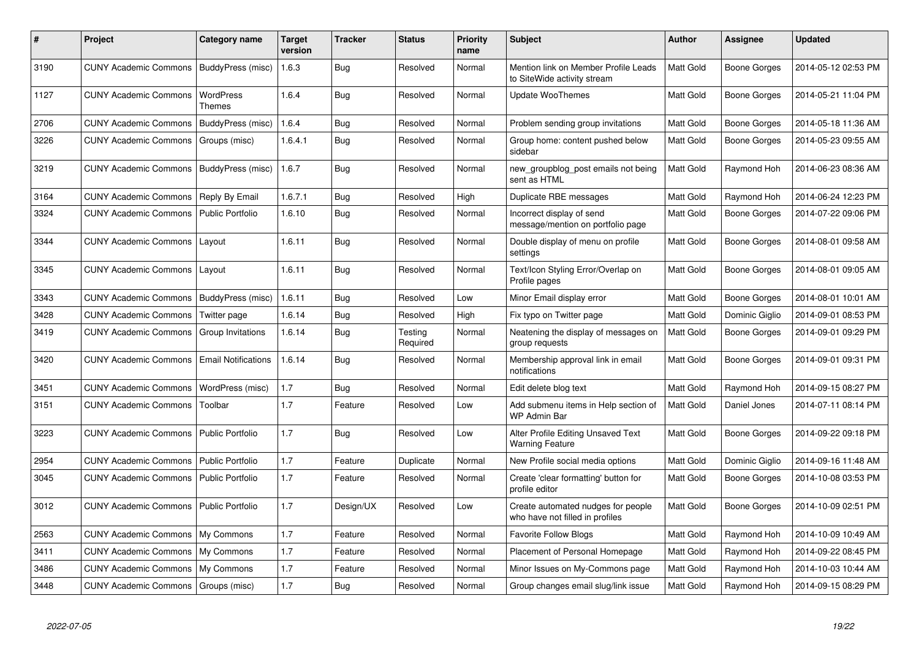| ∦    | <b>Project</b>                            | Category name              | <b>Target</b><br>version | Tracker    | <b>Status</b>       | Priority<br>name | <b>Subject</b>                                                        | Author    | Assignee            | <b>Updated</b>      |
|------|-------------------------------------------|----------------------------|--------------------------|------------|---------------------|------------------|-----------------------------------------------------------------------|-----------|---------------------|---------------------|
| 3190 | CUNY Academic Commons   BuddyPress (misc) |                            | 1.6.3                    | Bug        | Resolved            | Normal           | Mention link on Member Profile Leads<br>to SiteWide activity stream   | Matt Gold | <b>Boone Gorges</b> | 2014-05-12 02:53 PM |
| 1127 | <b>CUNY Academic Commons</b>              | WordPress<br>Themes        | 1.6.4                    | Bug        | Resolved            | Normal           | Update WooThemes                                                      | Matt Gold | <b>Boone Gorges</b> | 2014-05-21 11:04 PM |
| 2706 | <b>CUNY Academic Commons</b>              | BuddyPress (misc)          | 1.6.4                    | <b>Bug</b> | Resolved            | Normal           | Problem sending group invitations                                     | Matt Gold | <b>Boone Gorges</b> | 2014-05-18 11:36 AM |
| 3226 | <b>CUNY Academic Commons</b>              | Groups (misc)              | 1.6.4.1                  | <b>Bug</b> | Resolved            | Normal           | Group home: content pushed below<br>sidebar                           | Matt Gold | Boone Gorges        | 2014-05-23 09:55 AM |
| 3219 | <b>CUNY Academic Commons</b>              | BuddyPress (misc)          | 1.6.7                    | <b>Bug</b> | Resolved            | Normal           | new_groupblog_post emails not being<br>sent as HTML                   | Matt Gold | Raymond Hoh         | 2014-06-23 08:36 AM |
| 3164 | <b>CUNY Academic Commons</b>              | Reply By Email             | 1.6.7.1                  | Bug        | Resolved            | High             | Duplicate RBE messages                                                | Matt Gold | Raymond Hoh         | 2014-06-24 12:23 PM |
| 3324 | <b>CUNY Academic Commons</b>              | <b>Public Portfolio</b>    | 1.6.10                   | Bug        | Resolved            | Normal           | Incorrect display of send<br>message/mention on portfolio page        | Matt Gold | <b>Boone Gorges</b> | 2014-07-22 09:06 PM |
| 3344 | <b>CUNY Academic Commons</b>              | Layout                     | 1.6.11                   | Bug        | Resolved            | Normal           | Double display of menu on profile<br>settings                         | Matt Gold | Boone Gorges        | 2014-08-01 09:58 AM |
| 3345 | <b>CUNY Academic Commons</b>              | Layout                     | 1.6.11                   | Bug        | Resolved            | Normal           | Text/Icon Styling Error/Overlap on<br>Profile pages                   | Matt Gold | <b>Boone Gorges</b> | 2014-08-01 09:05 AM |
| 3343 | <b>CUNY Academic Commons</b>              | BuddyPress (misc)          | 1.6.11                   | Bug        | Resolved            | Low              | Minor Email display error                                             | Matt Gold | <b>Boone Gorges</b> | 2014-08-01 10:01 AM |
| 3428 | <b>CUNY Academic Commons</b>              | Twitter page               | 1.6.14                   | Bug        | Resolved            | High             | Fix typo on Twitter page                                              | Matt Gold | Dominic Giglio      | 2014-09-01 08:53 PM |
| 3419 | <b>CUNY Academic Commons</b>              | Group Invitations          | 1.6.14                   | Bug        | Testing<br>Required | Normal           | Neatening the display of messages on<br>group requests                | Matt Gold | Boone Gorges        | 2014-09-01 09:29 PM |
| 3420 | <b>CUNY Academic Commons</b>              | <b>Email Notifications</b> | 1.6.14                   | <b>Bug</b> | Resolved            | Normal           | Membership approval link in email<br>notifications                    | Matt Gold | Boone Gorges        | 2014-09-01 09:31 PM |
| 3451 | <b>CUNY Academic Commons</b>              | WordPress (misc)           | 1.7                      | <b>Bug</b> | Resolved            | Normal           | Edit delete blog text                                                 | Matt Gold | Raymond Hoh         | 2014-09-15 08:27 PM |
| 3151 | <b>CUNY Academic Commons</b>              | Toolbar                    | 1.7                      | Feature    | Resolved            | Low              | Add submenu items in Help section of<br><b>WP Admin Bar</b>           | Matt Gold | Daniel Jones        | 2014-07-11 08:14 PM |
| 3223 | <b>CUNY Academic Commons</b>              | <b>Public Portfolio</b>    | 1.7                      | Bug        | Resolved            | Low              | Alter Profile Editing Unsaved Text<br><b>Warning Feature</b>          | Matt Gold | Boone Gorges        | 2014-09-22 09:18 PM |
| 2954 | <b>CUNY Academic Commons</b>              | <b>Public Portfolio</b>    | 1.7                      | Feature    | Duplicate           | Normal           | New Profile social media options                                      | Matt Gold | Dominic Giglio      | 2014-09-16 11:48 AM |
| 3045 | <b>CUNY Academic Commons</b>              | <b>Public Portfolio</b>    | 1.7                      | Feature    | Resolved            | Normal           | Create 'clear formatting' button for<br>profile editor                | Matt Gold | <b>Boone Gorges</b> | 2014-10-08 03:53 PM |
| 3012 | <b>CUNY Academic Commons</b>              | Public Portfolio           | 1.7                      | Design/UX  | Resolved            | Low              | Create automated nudges for people<br>who have not filled in profiles | Matt Gold | Boone Gorges        | 2014-10-09 02:51 PM |
| 2563 | <b>CUNY Academic Commons</b>              | My Commons                 | 1.7                      | Feature    | Resolved            | Normal           | <b>Favorite Follow Blogs</b>                                          | Matt Gold | Raymond Hoh         | 2014-10-09 10:49 AM |
| 3411 | <b>CUNY Academic Commons</b>              | My Commons                 | 1.7                      | Feature    | Resolved            | Normal           | Placement of Personal Homepage                                        | Matt Gold | Raymond Hoh         | 2014-09-22 08:45 PM |
| 3486 | <b>CUNY Academic Commons</b>              | My Commons                 | 1.7                      | Feature    | Resolved            | Normal           | Minor Issues on My-Commons page                                       | Matt Gold | Raymond Hoh         | 2014-10-03 10:44 AM |
| 3448 | CUNY Academic Commons   Groups (misc)     |                            | 1.7                      | Bug        | Resolved            | Normal           | Group changes email slug/link issue                                   | Matt Gold | Raymond Hoh         | 2014-09-15 08:29 PM |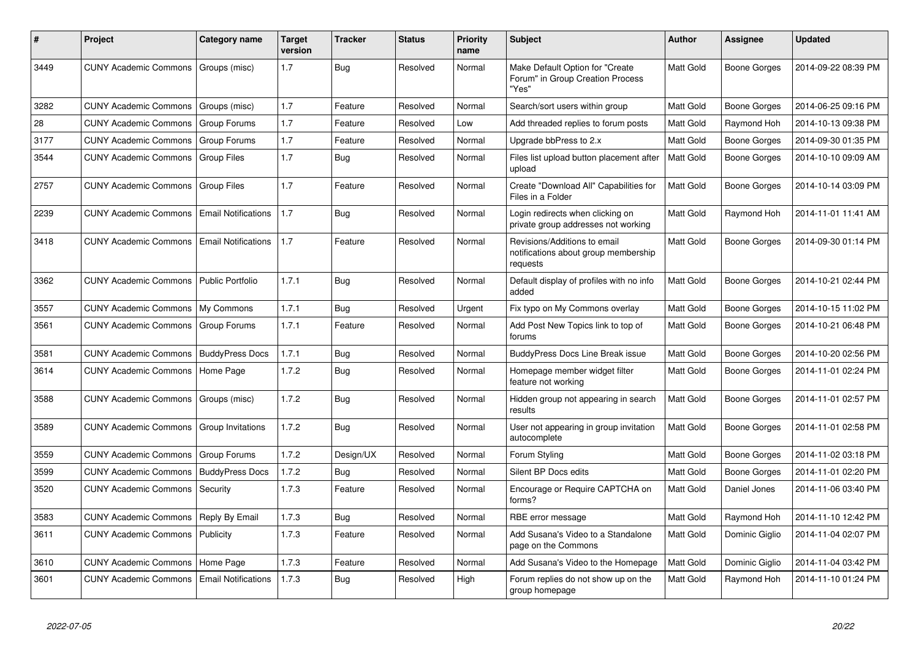| #    | <b>Project</b>                                     | Category name              | <b>Target</b><br>version | Tracker    | <b>Status</b> | Priority<br>name | <b>Subject</b>                                                                   | Author           | Assignee            | <b>Updated</b>      |
|------|----------------------------------------------------|----------------------------|--------------------------|------------|---------------|------------------|----------------------------------------------------------------------------------|------------------|---------------------|---------------------|
| 3449 | CUNY Academic Commons   Groups (misc)              |                            | 1.7                      | Bug        | Resolved      | Normal           | Make Default Option for "Create<br>Forum" in Group Creation Process<br>"Yes"     | <b>Matt Gold</b> | Boone Gorges        | 2014-09-22 08:39 PM |
| 3282 | <b>CUNY Academic Commons</b>                       | Groups (misc)              | 1.7                      | Feature    | Resolved      | Normal           | Search/sort users within group                                                   | <b>Matt Gold</b> | <b>Boone Gorges</b> | 2014-06-25 09:16 PM |
| 28   | <b>CUNY Academic Commons</b>                       | Group Forums               | 1.7                      | Feature    | Resolved      | Low              | Add threaded replies to forum posts                                              | Matt Gold        | Raymond Hoh         | 2014-10-13 09:38 PM |
| 3177 | <b>CUNY Academic Commons</b>                       | Group Forums               | 1.7                      | Feature    | Resolved      | Normal           | Upgrade bbPress to 2.x                                                           | <b>Matt Gold</b> | <b>Boone Gorges</b> | 2014-09-30 01:35 PM |
| 3544 | <b>CUNY Academic Commons</b>                       | <b>Group Files</b>         | 1.7                      | Bug        | Resolved      | Normal           | Files list upload button placement after<br>upload                               | <b>Matt Gold</b> | Boone Gorges        | 2014-10-10 09:09 AM |
| 2757 | <b>CUNY Academic Commons</b>                       | <b>Group Files</b>         | 1.7                      | Feature    | Resolved      | Normal           | Create "Download All" Capabilities for<br>Files in a Folder                      | Matt Gold        | <b>Boone Gorges</b> | 2014-10-14 03:09 PM |
| 2239 | <b>CUNY Academic Commons</b>                       | <b>Email Notifications</b> | 1.7                      | Bug        | Resolved      | Normal           | Login redirects when clicking on<br>private group addresses not working          | Matt Gold        | Raymond Hoh         | 2014-11-01 11:41 AM |
| 3418 | <b>CUNY Academic Commons   Email Notifications</b> |                            | 1.7                      | Feature    | Resolved      | Normal           | Revisions/Additions to email<br>notifications about group membership<br>requests | <b>Matt Gold</b> | <b>Boone Gorges</b> | 2014-09-30 01:14 PM |
| 3362 | CUNY Academic Commons   Public Portfolio           |                            | 1.7.1                    | Bug        | Resolved      | Normal           | Default display of profiles with no info<br>added                                | Matt Gold        | Boone Gorges        | 2014-10-21 02:44 PM |
| 3557 | CUNY Academic Commons   My Commons                 |                            | 1.7.1                    | Bug        | Resolved      | Urgent           | Fix typo on My Commons overlay                                                   | Matt Gold        | <b>Boone Gorges</b> | 2014-10-15 11:02 PM |
| 3561 | CUNY Academic Commons   Group Forums               |                            | 1.7.1                    | Feature    | Resolved      | Normal           | Add Post New Topics link to top of<br>forums                                     | Matt Gold        | <b>Boone Gorges</b> | 2014-10-21 06:48 PM |
| 3581 | <b>CUNY Academic Commons   BuddyPress Docs</b>     |                            | 1.7.1                    | Bug        | Resolved      | Normal           | <b>BuddyPress Docs Line Break issue</b>                                          | <b>Matt Gold</b> | Boone Gorges        | 2014-10-20 02:56 PM |
| 3614 | CUNY Academic Commons   Home Page                  |                            | 1.7.2                    | <b>Bug</b> | Resolved      | Normal           | Homepage member widget filter<br>feature not working                             | <b>Matt Gold</b> | Boone Gorges        | 2014-11-01 02:24 PM |
| 3588 | <b>CUNY Academic Commons</b>                       | Groups (misc)              | 1.7.2                    | Bug        | Resolved      | Normal           | Hidden group not appearing in search<br>results                                  | Matt Gold        | Boone Gorges        | 2014-11-01 02:57 PM |
| 3589 | <b>CUNY Academic Commons</b>                       | Group Invitations          | 1.7.2                    | Bug        | Resolved      | Normal           | User not appearing in group invitation<br>autocomplete                           | <b>Matt Gold</b> | <b>Boone Gorges</b> | 2014-11-01 02:58 PM |
| 3559 | <b>CUNY Academic Commons</b>                       | Group Forums               | 1.7.2                    | Design/UX  | Resolved      | Normal           | Forum Styling                                                                    | <b>Matt Gold</b> | Boone Gorges        | 2014-11-02 03:18 PM |
| 3599 | <b>CUNY Academic Commons</b>                       | <b>BuddyPress Docs</b>     | 1.7.2                    | Bug        | Resolved      | Normal           | Silent BP Docs edits                                                             | <b>Matt Gold</b> | Boone Gorges        | 2014-11-01 02:20 PM |
| 3520 | CUNY Academic Commons   Security                   |                            | 1.7.3                    | Feature    | Resolved      | Normal           | Encourage or Require CAPTCHA on<br>forms?                                        | Matt Gold        | Daniel Jones        | 2014-11-06 03:40 PM |
| 3583 | <b>CUNY Academic Commons</b>                       | Reply By Email             | 1.7.3                    | <b>Bug</b> | Resolved      | Normal           | RBE error message                                                                | <b>Matt Gold</b> | Raymond Hoh         | 2014-11-10 12:42 PM |
| 3611 | <b>CUNY Academic Commons</b>                       | Publicity                  | 1.7.3                    | Feature    | Resolved      | Normal           | Add Susana's Video to a Standalone<br>page on the Commons                        | <b>Matt Gold</b> | Dominic Giglio      | 2014-11-04 02:07 PM |
| 3610 | <b>CUNY Academic Commons</b>                       | Home Page                  | 1.7.3                    | Feature    | Resolved      | Normal           | Add Susana's Video to the Homepage                                               | Matt Gold        | Dominic Giglio      | 2014-11-04 03:42 PM |
| 3601 | <b>CUNY Academic Commons</b>                       | <b>Email Notifications</b> | 1.7.3                    | <b>Bug</b> | Resolved      | High             | Forum replies do not show up on the<br>group homepage                            | <b>Matt Gold</b> | Raymond Hoh         | 2014-11-10 01:24 PM |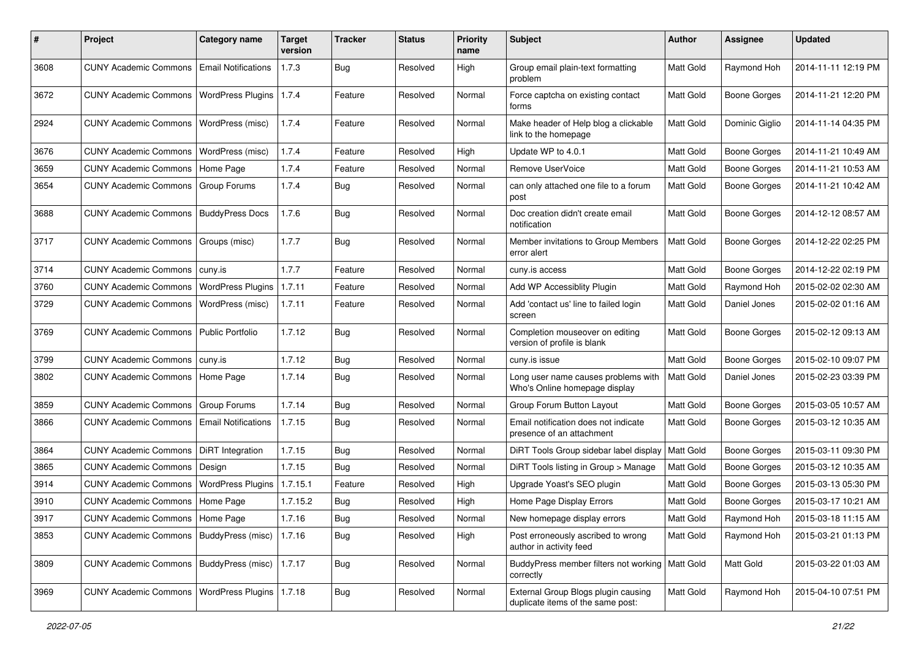| #    | Project                                            | Category name              | <b>Target</b><br>version | <b>Tracker</b> | <b>Status</b> | <b>Priority</b><br>name | <b>Subject</b>                                                           | <b>Author</b> | <b>Assignee</b>     | <b>Updated</b>      |
|------|----------------------------------------------------|----------------------------|--------------------------|----------------|---------------|-------------------------|--------------------------------------------------------------------------|---------------|---------------------|---------------------|
| 3608 | <b>CUNY Academic Commons</b>                       | <b>Email Notifications</b> | 1.7.3                    | <b>Bug</b>     | Resolved      | High                    | Group email plain-text formatting<br>problem                             | Matt Gold     | Raymond Hoh         | 2014-11-11 12:19 PM |
| 3672 | <b>CUNY Academic Commons</b>                       | WordPress Plugins   1.7.4  |                          | Feature        | Resolved      | Normal                  | Force captcha on existing contact<br>forms                               | Matt Gold     | <b>Boone Gorges</b> | 2014-11-21 12:20 PM |
| 2924 | <b>CUNY Academic Commons</b>                       | WordPress (misc)           | 1.7.4                    | Feature        | Resolved      | Normal                  | Make header of Help blog a clickable<br>link to the homepage             | Matt Gold     | Dominic Giglio      | 2014-11-14 04:35 PM |
| 3676 | <b>CUNY Academic Commons</b>                       | WordPress (misc)           | 1.7.4                    | Feature        | Resolved      | High                    | Update WP to 4.0.1                                                       | Matt Gold     | <b>Boone Gorges</b> | 2014-11-21 10:49 AM |
| 3659 | <b>CUNY Academic Commons</b>                       | Home Page                  | 1.7.4                    | Feature        | Resolved      | Normal                  | Remove UserVoice                                                         | Matt Gold     | <b>Boone Gorges</b> | 2014-11-21 10:53 AM |
| 3654 | CUNY Academic Commons   Group Forums               |                            | 1.7.4                    | Bug            | Resolved      | Normal                  | can only attached one file to a forum<br>post                            | Matt Gold     | <b>Boone Gorges</b> | 2014-11-21 10:42 AM |
| 3688 | <b>CUNY Academic Commons</b>                       | <b>BuddyPress Docs</b>     | 1.7.6                    | <b>Bug</b>     | Resolved      | Normal                  | Doc creation didn't create email<br>notification                         | Matt Gold     | <b>Boone Gorges</b> | 2014-12-12 08:57 AM |
| 3717 | <b>CUNY Academic Commons</b>                       | Groups (misc)              | 1.7.7                    | Bug            | Resolved      | Normal                  | Member invitations to Group Members<br>error alert                       | Matt Gold     | <b>Boone Gorges</b> | 2014-12-22 02:25 PM |
| 3714 | CUNY Academic Commons   cuny.is                    |                            | 1.7.7                    | Feature        | Resolved      | Normal                  | cuny is access                                                           | Matt Gold     | <b>Boone Gorges</b> | 2014-12-22 02:19 PM |
| 3760 | <b>CUNY Academic Commons</b>                       | <b>WordPress Plugins</b>   | 1.7.11                   | Feature        | Resolved      | Normal                  | Add WP Accessiblity Plugin                                               | Matt Gold     | Raymond Hoh         | 2015-02-02 02:30 AM |
| 3729 | <b>CUNY Academic Commons</b>                       | WordPress (misc)           | 1.7.11                   | Feature        | Resolved      | Normal                  | Add 'contact us' line to failed login<br>screen                          | Matt Gold     | Daniel Jones        | 2015-02-02 01:16 AM |
| 3769 | <b>CUNY Academic Commons</b>                       | <b>Public Portfolio</b>    | 1.7.12                   | Bug            | Resolved      | Normal                  | Completion mouseover on editing<br>version of profile is blank           | Matt Gold     | <b>Boone Gorges</b> | 2015-02-12 09:13 AM |
| 3799 | <b>CUNY Academic Commons</b>                       | l cunv.is                  | 1.7.12                   | Bug            | Resolved      | Normal                  | cuny.is issue                                                            | Matt Gold     | <b>Boone Gorges</b> | 2015-02-10 09:07 PM |
| 3802 | CUNY Academic Commons   Home Page                  |                            | 1.7.14                   | <b>Bug</b>     | Resolved      | Normal                  | Long user name causes problems with<br>Who's Online homepage display     | Matt Gold     | Daniel Jones        | 2015-02-23 03:39 PM |
| 3859 | <b>CUNY Academic Commons</b>                       | Group Forums               | 1.7.14                   | Bug            | Resolved      | Normal                  | Group Forum Button Layout                                                | Matt Gold     | <b>Boone Gorges</b> | 2015-03-05 10:57 AM |
| 3866 | <b>CUNY Academic Commons</b>                       | <b>Email Notifications</b> | 1.7.15                   | Bug            | Resolved      | Normal                  | Email notification does not indicate<br>presence of an attachment        | Matt Gold     | <b>Boone Gorges</b> | 2015-03-12 10:35 AM |
| 3864 | <b>CUNY Academic Commons</b>                       | DiRT Integration           | 1.7.15                   | <b>Bug</b>     | Resolved      | Normal                  | DiRT Tools Group sidebar label display                                   | Matt Gold     | <b>Boone Gorges</b> | 2015-03-11 09:30 PM |
| 3865 | <b>CUNY Academic Commons</b>                       | Design                     | 1.7.15                   | Bug            | Resolved      | Normal                  | DiRT Tools listing in Group > Manage                                     | Matt Gold     | <b>Boone Gorges</b> | 2015-03-12 10:35 AM |
| 3914 | CUNY Academic Commons   WordPress Plugins          |                            | 1.7.15.1                 | Feature        | Resolved      | High                    | Upgrade Yoast's SEO plugin                                               | Matt Gold     | <b>Boone Gorges</b> | 2015-03-13 05:30 PM |
| 3910 | CUNY Academic Commons   Home Page                  |                            | 1.7.15.2                 | Bug            | Resolved      | High                    | Home Page Display Errors                                                 | Matt Gold     | <b>Boone Gorges</b> | 2015-03-17 10:21 AM |
| 3917 | CUNY Academic Commons   Home Page                  |                            | 1.7.16                   | Bug            | Resolved      | Normal                  | New homepage display errors                                              | Matt Gold     | Raymond Hoh         | 2015-03-18 11:15 AM |
| 3853 | CUNY Academic Commons   BuddyPress (misc)          |                            | 1.7.16                   | Bug            | Resolved      | High                    | Post erroneously ascribed to wrong<br>author in activity feed            | Matt Gold     | Raymond Hoh         | 2015-03-21 01:13 PM |
| 3809 | CUNY Academic Commons   BuddyPress (misc)          |                            | 1.7.17                   | Bug            | Resolved      | Normal                  | BuddyPress member filters not working<br>correctly                       | Matt Gold     | Matt Gold           | 2015-03-22 01:03 AM |
| 3969 | CUNY Academic Commons   WordPress Plugins   1.7.18 |                            |                          | <b>Bug</b>     | Resolved      | Normal                  | External Group Blogs plugin causing<br>duplicate items of the same post: | Matt Gold     | Raymond Hoh         | 2015-04-10 07:51 PM |